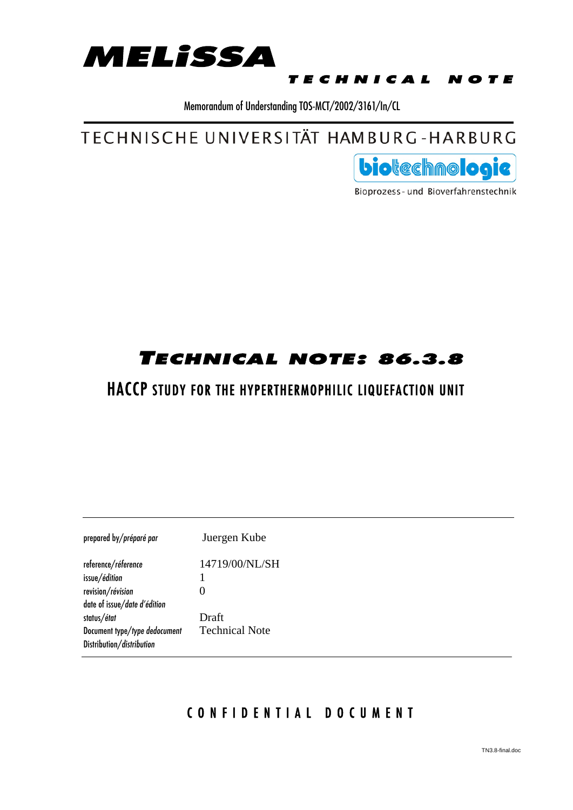

#### TECHNICAL NOTE

Memorandum of Understanding TOS-MCT/2002/3161/In/CL

TECHNISCHE UNIVERSITÄT HAMBURG-HARBURG



Bioprozess- und Bioverfahrenstechnik

## TECHNICAL NOTE: 86.3.8

## HACCP STUDY FOR THE HYPERTHERMOPHILIC LIQUEFACTION UNIT

| prepared by/préparé par       | Juergen Kube          |  |
|-------------------------------|-----------------------|--|
| reference/réference           | 14719/00/NL/SH        |  |
| issue/édition                 |                       |  |
| revision/révision             |                       |  |
| date of issue/date d'édition  |                       |  |
| status/état                   | Draft                 |  |
| Document type/type dedocument | <b>Technical Note</b> |  |
| Distribution/distribution     |                       |  |

### CONFIDENTIAL DOCUMENT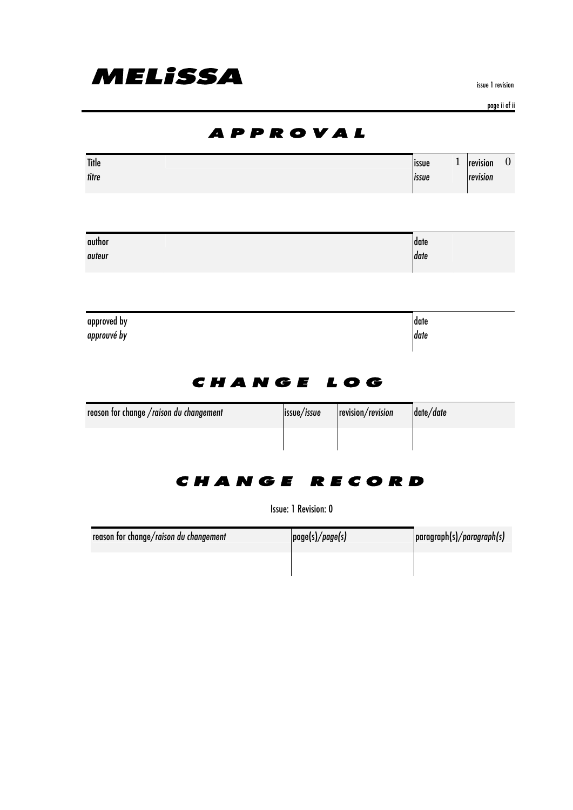

issue 1 revision

page ii of ii

|                                         | <i><b>APPROVAL</b></i>           |                   |                |              |                      |                |
|-----------------------------------------|----------------------------------|-------------------|----------------|--------------|----------------------|----------------|
| <b>Title</b><br>titre                   |                                  |                   | issue<br>issue | $\mathbf{1}$ | revision<br>revision | $\overline{0}$ |
| author<br>auteur                        |                                  |                   | date<br>date   |              |                      |                |
| approved by<br>approuvé by              |                                  |                   | date<br>date   |              |                      |                |
| reason for change /raison du changement | <b>CHANGE LOG</b><br>issue/issue | revision/revision | date/date      |              |                      |                |
|                                         |                                  |                   |                |              |                      |                |

### CHANGE RECORD

Issue: 1 Revision: 0

| reason for change/raison du changement | page(s)/page(s) | paragnph(s)/paragnph(s) |
|----------------------------------------|-----------------|-------------------------|
|                                        |                 |                         |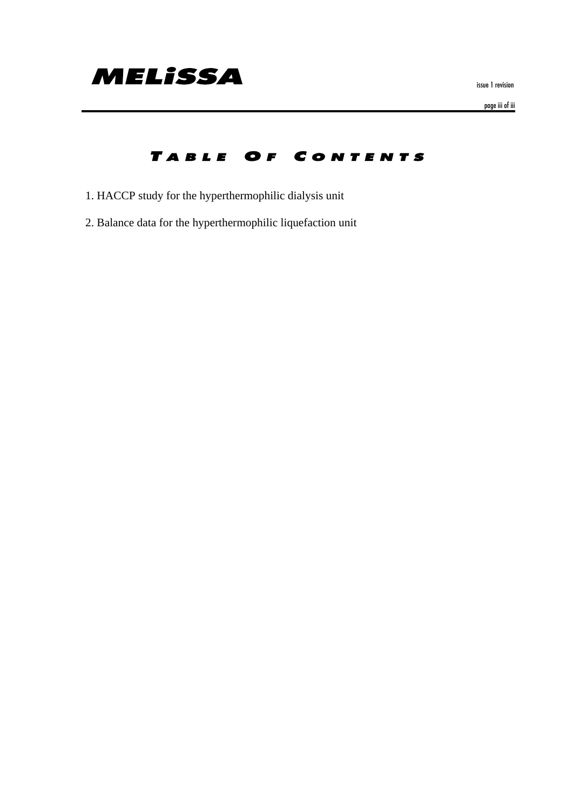

issue 1 revision

page iii of iii

### TABLE OF CONTENTS

- 1. HACCP study for the hyperthermophilic dialysis unit
- 2. Balance data for the hyperthermophilic liquefaction unit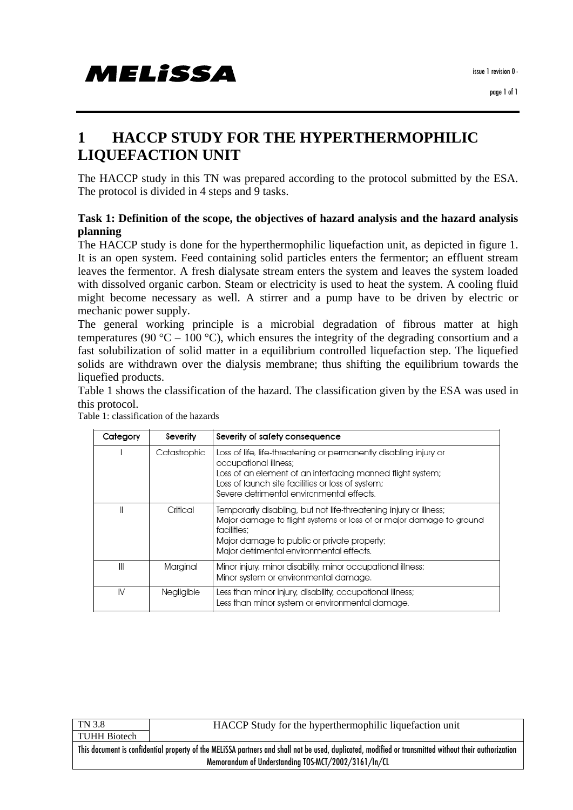# MELISSA

### **1 HACCP STUDY FOR THE HYPERTHERMOPHILIC LIQUEFACTION UNIT**

The HACCP study in this TN was prepared according to the protocol submitted by the ESA. The protocol is divided in 4 steps and 9 tasks.

#### **Task 1: Definition of the scope, the objectives of hazard analysis and the hazard analysis planning**

The HACCP study is done for the hyperthermophilic liquefaction unit, as depicted in figure 1. It is an open system. Feed containing solid particles enters the fermentor; an effluent stream leaves the fermentor. A fresh dialysate stream enters the system and leaves the system loaded with dissolved organic carbon. Steam or electricity is used to heat the system. A cooling fluid might become necessary as well. A stirrer and a pump have to be driven by electric or mechanic power supply.

The general working principle is a microbial degradation of fibrous matter at high temperatures (90 °C – 100 °C), which ensures the integrity of the degrading consortium and a fast solubilization of solid matter in a equilibrium controlled liquefaction step. The liquefied solids are withdrawn over the dialysis membrane; thus shifting the equilibrium towards the liquefied products.

Table 1 shows the classification of the hazard. The classification given by the ESA was used in this protocol.

| Category | Severity     | Severity of safety consequence                                                                                                                                                                                                                             |
|----------|--------------|------------------------------------------------------------------------------------------------------------------------------------------------------------------------------------------------------------------------------------------------------------|
|          | Catastrophic | Loss of life, life-threatening or permanently disabling injury or<br>occupational illness;<br>Loss of an element of an interfacing manned flight system;<br>Loss of launch site facilities or loss of system;<br>Severe detrimental environmental effects. |
|          | Critical     | Temporarily disabling, but not life-threatening injury or illness;<br>Major damage to flight systems or loss of or major damage to ground<br>facilities:<br>Major damage to public or private property;<br>Major detrimental environmental effects.        |
| Ш        | Marginal     | Minor injury, minor disability, minor occupational illness;<br>Minor system or environmental damage.                                                                                                                                                       |
| IV       | Negligible   | Less than minor injury, disability, occupational illness;<br>Less than minor system or environmental damage.                                                                                                                                               |

Table 1: classification of the hazards

TN 3.8 TUHH Biotech HACCP Study for the hyperthermophilic liquefaction unit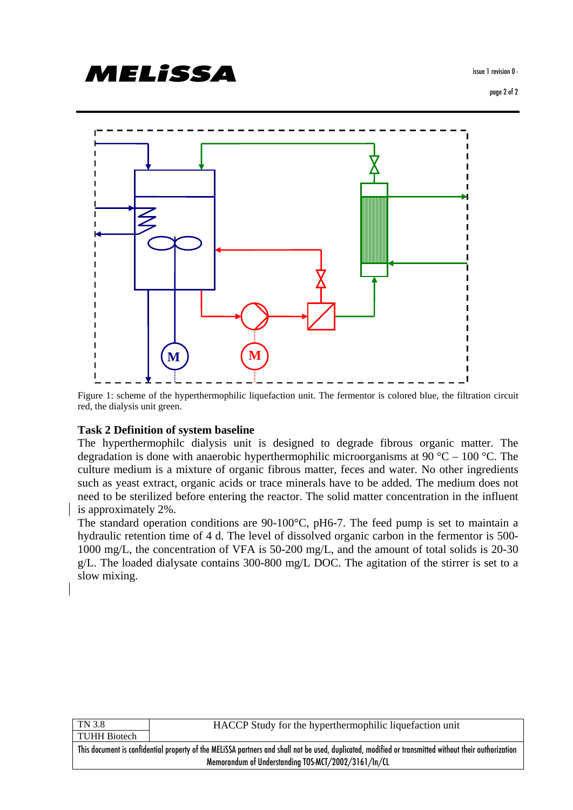

Figure 1: scheme of the hyperthermophilic liquefaction unit. The fermentor is colored blue, the filtration circuit red, the dialysis unit green.

#### **Task 2 Definition of system baseline**

MELISSA

The hyperthermophilc dialysis unit is designed to degrade fibrous organic matter. The degradation is done with anaerobic hyperthermophilic microorganisms at 90 °C – 100 °C. The culture medium is a mixture of organic fibrous matter, feces and water. No other ingredients such as yeast extract, organic acids or trace minerals have to be added. The medium does not need to be sterilized before entering the reactor. The solid matter concentration in the influent is approximately 2%.

The standard operation conditions are 90-100°C, pH6-7. The feed pump is set to maintain a hydraulic retention time of 4 d. The level of dissolved organic carbon in the fermentor is 500- 1000 mg/L, the concentration of VFA is 50-200 mg/L, and the amount of total solids is 20-30 g/L. The loaded dialysate contains 300-800 mg/L DOC. The agitation of the stirrer is set to a slow mixing.

| TN 3.8                                                                                                                                                | HACCP Study for the hyperthermophilic liquefaction unit |  |  |  |
|-------------------------------------------------------------------------------------------------------------------------------------------------------|---------------------------------------------------------|--|--|--|
| <b>TUHH Biotech</b>                                                                                                                                   |                                                         |  |  |  |
| This document is confidential property of the MELISSA partners and shall not be used, duplicated, modified or transmitted without their authorization |                                                         |  |  |  |
| Memorandum of Understanding TOS-MCT/2002/3161/In/CL                                                                                                   |                                                         |  |  |  |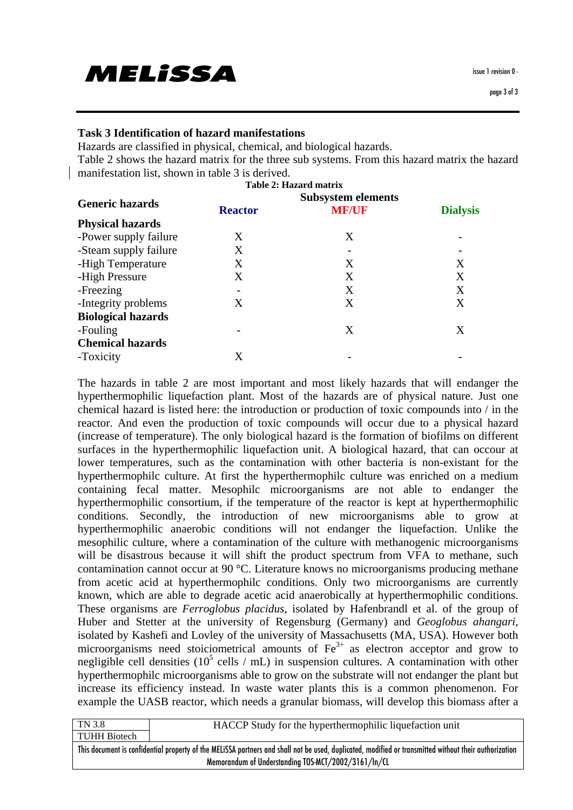# MELISSA

#### **Task 3 Identification of hazard manifestations**

Hazards are classified in physical, chemical, and biological hazards.

Table 2 shows the hazard matrix for the three sub systems. From this hazard matrix the hazard manifestation list, shown in table 3 is derived.

|                           |                | <b>Table 2: Hazard matrix</b> |                 |  |
|---------------------------|----------------|-------------------------------|-----------------|--|
| <b>Generic hazards</b>    |                |                               |                 |  |
|                           | <b>Reactor</b> | <b>MF/UF</b>                  | <b>Dialysis</b> |  |
| <b>Physical hazards</b>   |                |                               |                 |  |
| -Power supply failure     | X              | X                             |                 |  |
| -Steam supply failure     | X              |                               |                 |  |
| -High Temperature         | X              | X                             | X               |  |
| -High Pressure            | Χ              | X                             | Χ               |  |
| -Freezing                 |                | X                             | X               |  |
| -Integrity problems       | X              | X                             | X               |  |
| <b>Biological hazards</b> |                |                               |                 |  |
| -Fouling                  |                | X                             | X               |  |
| <b>Chemical hazards</b>   |                |                               |                 |  |
| -Toxicity                 | X              |                               |                 |  |
|                           |                |                               |                 |  |

The hazards in table 2 are most important and most likely hazards that will endanger the hyperthermophilic liquefaction plant. Most of the hazards are of physical nature. Just one chemical hazard is listed here: the introduction or production of toxic compounds into / in the reactor. And even the production of toxic compounds will occur due to a physical hazard (increase of temperature). The only biological hazard is the formation of biofilms on different surfaces in the hyperthermophilic liquefaction unit. A biological hazard, that can occour at lower temperatures, such as the contamination with other bacteria is non-existant for the hyperthermophilc culture. At first the hyperthermophilc culture was enriched on a medium containing fecal matter. Mesophilc microorganisms are not able to endanger the hyperthermophilic consortium, if the temperature of the reactor is kept at hyperthermophilic conditions. Secondly, the introduction of new microorganisms able to grow at hyperthermophilic anaerobic conditions will not endanger the liquefaction. Unlike the mesophilic culture, where a contamination of the culture with methanogenic microorganisms will be disastrous because it will shift the product spectrum from VFA to methane, such contamination cannot occur at 90 °C. Literature knows no microorganisms producing methane from acetic acid at hyperthermophilc conditions. Only two microorganisms are currently known, which are able to degrade acetic acid anaerobically at hyperthermophilic conditions. These organisms are *Ferroglobus placidus*, isolated by Hafenbrandl et al. of the group of Huber and Stetter at the university of Regensburg (Germany) and *Geoglobus ahangari*, isolated by Kashefi and Lovley of the university of Massachusetts (MA, USA). However both microorganisms need stoiciometrical amounts of  $Fe<sup>3+</sup>$  as electron acceptor and grow to negligible cell densities ( $10^5$  cells / mL) in suspension cultures. A contamination with other hyperthermophilc microorganisms able to grow on the substrate will not endanger the plant but increase its efficiency instead. In waste water plants this is a common phenomenon. For example the UASB reactor, which needs a granular biomass, will develop this biomass after a

| TN 3.8                                                                                                                                                | HACCP Study for the hyperthermophilic liquefaction unit |  |  |  |
|-------------------------------------------------------------------------------------------------------------------------------------------------------|---------------------------------------------------------|--|--|--|
| TUHH Biotech                                                                                                                                          |                                                         |  |  |  |
| This document is confidential property of the MELISSA partners and shall not be used, duplicated, modified or transmitted without their authorization |                                                         |  |  |  |
| Memorandum of Understanding TOS-MCT/2002/3161/In/CL                                                                                                   |                                                         |  |  |  |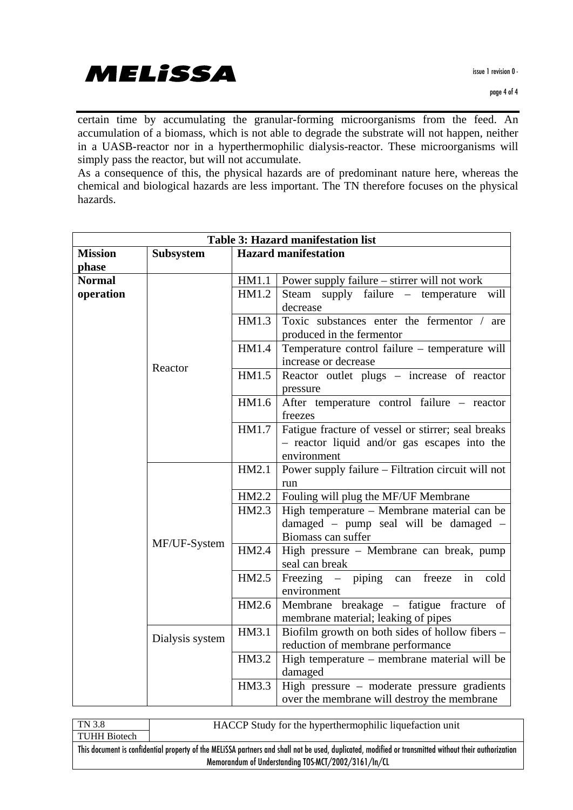certain time by accumulating the granular-forming microorganisms from the feed. An accumulation of a biomass, which is not able to degrade the substrate will not happen, neither in a UASB-reactor nor in a hyperthermophilic dialysis-reactor. These microorganisms will simply pass the reactor, but will not accumulate.

As a consequence of this, the physical hazards are of predominant nature here, whereas the chemical and biological hazards are less important. The TN therefore focuses on the physical hazards.

| <b>Table 3: Hazard manifestation list</b> |                  |       |                                                    |  |  |
|-------------------------------------------|------------------|-------|----------------------------------------------------|--|--|
| <b>Mission</b>                            | <b>Subsystem</b> |       | <b>Hazard manifestation</b>                        |  |  |
| phase                                     |                  |       |                                                    |  |  |
| <b>Normal</b>                             |                  | HM1.1 | Power supply failure – stirrer will not work       |  |  |
| operation                                 |                  | HM1.2 | Steam supply failure – temperature will            |  |  |
|                                           |                  |       | decrease                                           |  |  |
|                                           |                  | HM1.3 | Toxic substances enter the fermentor / are         |  |  |
|                                           |                  |       | produced in the fermentor                          |  |  |
|                                           |                  | HM1.4 | Temperature control failure - temperature will     |  |  |
|                                           |                  |       | increase or decrease                               |  |  |
|                                           | Reactor          | HM1.5 | Reactor outlet plugs – increase of reactor         |  |  |
|                                           |                  |       | pressure                                           |  |  |
|                                           |                  | HM1.6 | After temperature control failure – reactor        |  |  |
|                                           |                  |       | freezes                                            |  |  |
|                                           |                  | HM1.7 | Fatigue fracture of vessel or stirrer; seal breaks |  |  |
|                                           |                  |       | - reactor liquid and/or gas escapes into the       |  |  |
|                                           |                  |       | environment                                        |  |  |
|                                           |                  |       | Power supply failure - Filtration circuit will not |  |  |
|                                           |                  |       | run                                                |  |  |
|                                           |                  | HM2.2 | Fouling will plug the MF/UF Membrane               |  |  |
|                                           |                  | HM2.3 | High temperature - Membrane material can be        |  |  |
|                                           |                  |       | damaged - pump seal will be damaged -              |  |  |
|                                           | MF/UF-System     |       | Biomass can suffer                                 |  |  |
|                                           |                  | HM2.4 | High pressure - Membrane can break, pump           |  |  |
|                                           |                  |       | seal can break                                     |  |  |
|                                           |                  | HM2.5 | Freezing – piping can<br>freeze in cold            |  |  |
|                                           |                  |       | environment                                        |  |  |
|                                           |                  | HM2.6 | Membrane breakage – fatigue fracture of            |  |  |
|                                           |                  |       | membrane material; leaking of pipes                |  |  |
|                                           | Dialysis system  | HM3.1 | Biofilm growth on both sides of hollow fibers -    |  |  |
|                                           |                  |       | reduction of membrane performance                  |  |  |
|                                           |                  | HM3.2 | High temperature – membrane material will be       |  |  |
|                                           |                  |       | damaged                                            |  |  |
|                                           |                  | HM3.3 | High pressure – moderate pressure gradients        |  |  |
|                                           |                  |       | over the membrane will destroy the membrane        |  |  |

| TN 3.8                                                                                                                                                | HACCP Study for the hyperthermophilic liquefaction unit |  |  |  |
|-------------------------------------------------------------------------------------------------------------------------------------------------------|---------------------------------------------------------|--|--|--|
| TUHH Biotech                                                                                                                                          |                                                         |  |  |  |
| This document is confidential property of the MELISSA partners and shall not be used, duplicated, modified or transmitted without their authorization |                                                         |  |  |  |
| Memorandum of Understanding TOS-MCT/2002/3161/In/CL                                                                                                   |                                                         |  |  |  |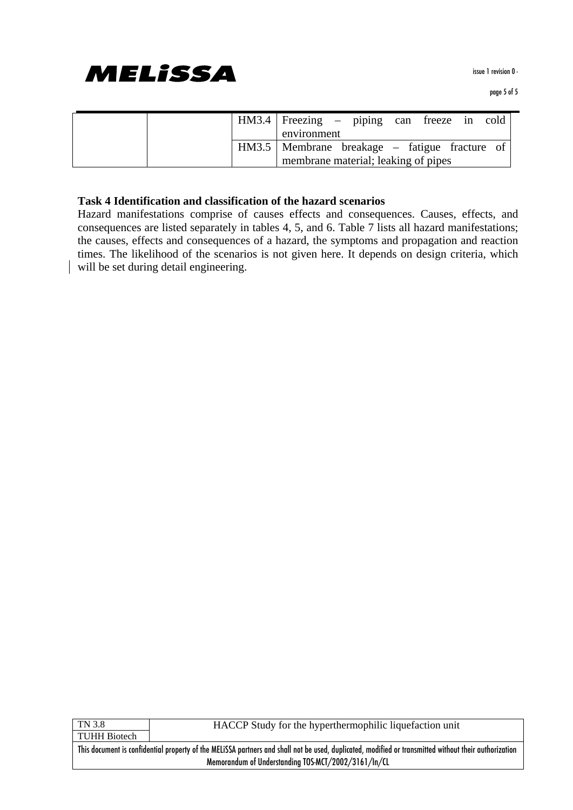

|  | HM3.4   Freezing – piping can freeze in cold    |  |  |  |
|--|-------------------------------------------------|--|--|--|
|  | environment                                     |  |  |  |
|  | HM3.5   Membrane breakage – fatigue fracture of |  |  |  |
|  | membrane material; leaking of pipes             |  |  |  |

#### **Task 4 Identification and classification of the hazard scenarios**

Hazard manifestations comprise of causes effects and consequences. Causes, effects, and consequences are listed separately in tables 4, 5, and 6. Table 7 lists all hazard manifestations; the causes, effects and consequences of a hazard, the symptoms and propagation and reaction times. The likelihood of the scenarios is not given here. It depends on design criteria, which will be set during detail engineering.

TN 3.8 TUHH Biotech HACCP Study for the hyperthermophilic liquefaction unit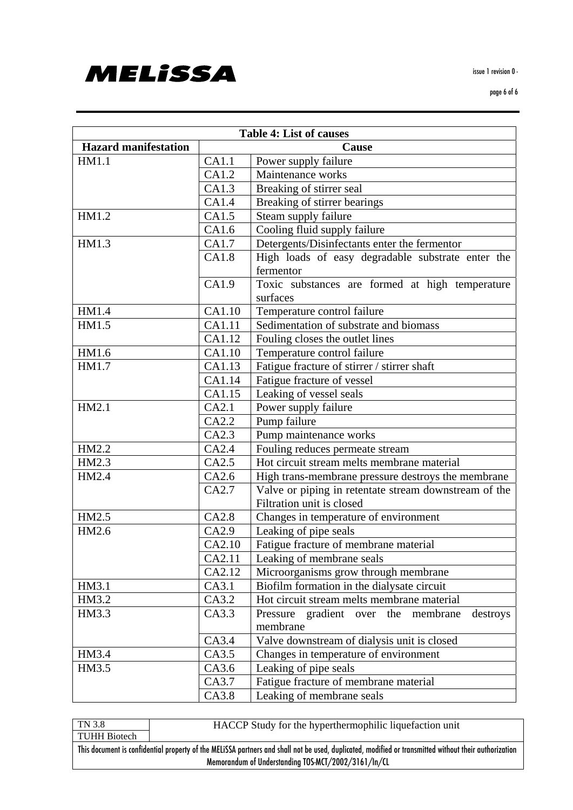**MELISSA** 

issue 1 revision 0 -

| <b>Table 4: List of causes</b> |        |                                                       |  |  |  |  |
|--------------------------------|--------|-------------------------------------------------------|--|--|--|--|
| <b>Hazard manifestation</b>    | Cause  |                                                       |  |  |  |  |
| HM1.1                          | CA1.1  | Power supply failure                                  |  |  |  |  |
|                                | CA1.2  | Maintenance works                                     |  |  |  |  |
|                                | CA1.3  | Breaking of stirrer seal                              |  |  |  |  |
|                                | CA1.4  | Breaking of stirrer bearings                          |  |  |  |  |
| HM1.2                          | CA1.5  | Steam supply failure                                  |  |  |  |  |
|                                | CA1.6  | Cooling fluid supply failure                          |  |  |  |  |
| HM1.3                          | CA1.7  | Detergents/Disinfectants enter the fermentor          |  |  |  |  |
|                                | CA1.8  | High loads of easy degradable substrate enter the     |  |  |  |  |
|                                |        | fermentor                                             |  |  |  |  |
|                                | CA1.9  | Toxic substances are formed at high temperature       |  |  |  |  |
|                                |        | surfaces                                              |  |  |  |  |
| HM1.4                          | CA1.10 | Temperature control failure                           |  |  |  |  |
| HM1.5                          | CA1.11 | Sedimentation of substrate and biomass                |  |  |  |  |
|                                | CA1.12 | Fouling closes the outlet lines                       |  |  |  |  |
| HM1.6                          | CA1.10 | Temperature control failure                           |  |  |  |  |
| HM1.7                          | CA1.13 | Fatigue fracture of stirrer / stirrer shaft           |  |  |  |  |
|                                | CA1.14 | Fatigue fracture of vessel                            |  |  |  |  |
|                                | CA1.15 | Leaking of vessel seals                               |  |  |  |  |
| HM2.1                          | CA2.1  | Power supply failure                                  |  |  |  |  |
|                                | CA2.2  | Pump failure                                          |  |  |  |  |
|                                | CA2.3  | Pump maintenance works                                |  |  |  |  |
| HM2.2                          | CA2.4  | Fouling reduces permeate stream                       |  |  |  |  |
| HM2.3                          | CA2.5  | Hot circuit stream melts membrane material            |  |  |  |  |
| HM2.4                          | CA2.6  | High trans-membrane pressure destroys the membrane    |  |  |  |  |
|                                | CA2.7  | Valve or piping in retentate stream downstream of the |  |  |  |  |
|                                |        | Filtration unit is closed                             |  |  |  |  |
| HM2.5                          | CA2.8  | Changes in temperature of environment                 |  |  |  |  |
| HM2.6                          | CA2.9  | Leaking of pipe seals                                 |  |  |  |  |
|                                | CA2.10 | Fatigue fracture of membrane material                 |  |  |  |  |
|                                | CA2.11 | Leaking of membrane seals                             |  |  |  |  |
|                                | CA2.12 | Microorganisms grow through membrane                  |  |  |  |  |
| HM3.1                          | CA3.1  | Biofilm formation in the dialysate circuit            |  |  |  |  |
| HM3.2                          | CA3.2  | Hot circuit stream melts membrane material            |  |  |  |  |
| HM3.3                          | CA3.3  | Pressure gradient over the membrane<br>destroys       |  |  |  |  |
|                                |        | membrane                                              |  |  |  |  |
|                                | CA3.4  | Valve downstream of dialysis unit is closed           |  |  |  |  |
| HM3.4                          | CA3.5  | Changes in temperature of environment                 |  |  |  |  |
| HM3.5                          | CA3.6  | Leaking of pipe seals                                 |  |  |  |  |
|                                | CA3.7  | Fatigue fracture of membrane material                 |  |  |  |  |
|                                | CA3.8  | Leaking of membrane seals                             |  |  |  |  |

TN 3.8 TUHH Biotech HACCP Study for the hyperthermophilic liquefaction unit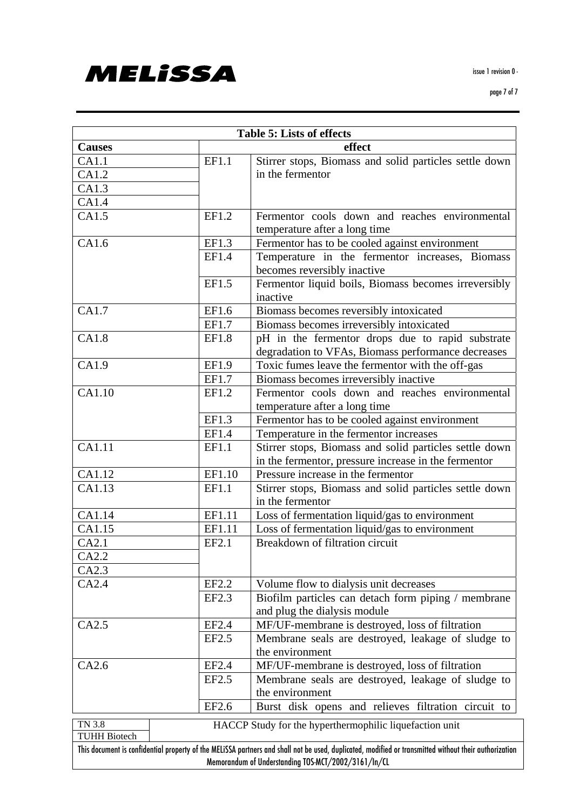

| <b>Table 5: Lists of effects</b> |        |                                                                                                                                                                                                              |  |  |  |  |
|----------------------------------|--------|--------------------------------------------------------------------------------------------------------------------------------------------------------------------------------------------------------------|--|--|--|--|
| <b>Causes</b>                    |        | effect                                                                                                                                                                                                       |  |  |  |  |
| CA1.1                            | EF1.1  | Stirrer stops, Biomass and solid particles settle down                                                                                                                                                       |  |  |  |  |
| CA1.2                            |        | in the fermentor                                                                                                                                                                                             |  |  |  |  |
| CA1.3                            |        |                                                                                                                                                                                                              |  |  |  |  |
| CA1.4                            |        |                                                                                                                                                                                                              |  |  |  |  |
| CA1.5                            | EF1.2  | Fermentor cools down and reaches environmental<br>temperature after a long time                                                                                                                              |  |  |  |  |
| CA1.6                            | EF1.3  | Fermentor has to be cooled against environment                                                                                                                                                               |  |  |  |  |
|                                  | EF1.4  | Temperature in the fermentor increases, Biomass<br>becomes reversibly inactive                                                                                                                               |  |  |  |  |
|                                  | EF1.5  | Fermentor liquid boils, Biomass becomes irreversibly<br>inactive                                                                                                                                             |  |  |  |  |
| CA1.7                            | EF1.6  | Biomass becomes reversibly intoxicated                                                                                                                                                                       |  |  |  |  |
|                                  | EF1.7  | Biomass becomes irreversibly intoxicated                                                                                                                                                                     |  |  |  |  |
| CA1.8                            | EF1.8  | pH in the fermentor drops due to rapid substrate<br>degradation to VFAs, Biomass performance decreases                                                                                                       |  |  |  |  |
| CA1.9                            | EF1.9  | Toxic fumes leave the fermentor with the off-gas                                                                                                                                                             |  |  |  |  |
|                                  | EF1.7  | Biomass becomes irreversibly inactive                                                                                                                                                                        |  |  |  |  |
| CA1.10                           | EF1.2  | Fermentor cools down and reaches environmental<br>temperature after a long time                                                                                                                              |  |  |  |  |
|                                  | EF1.3  | Fermentor has to be cooled against environment                                                                                                                                                               |  |  |  |  |
|                                  | EF1.4  | Temperature in the fermentor increases                                                                                                                                                                       |  |  |  |  |
| CA1.11                           | EF1.1  | Stirrer stops, Biomass and solid particles settle down<br>in the fermentor, pressure increase in the fermentor                                                                                               |  |  |  |  |
| CA1.12                           | EF1.10 | Pressure increase in the fermentor                                                                                                                                                                           |  |  |  |  |
| CA1.13                           | EF1.1  | Stirrer stops, Biomass and solid particles settle down<br>in the fermentor                                                                                                                                   |  |  |  |  |
| CA1.14                           | EF1.11 | Loss of fermentation liquid/gas to environment                                                                                                                                                               |  |  |  |  |
| CA1.15                           | EF1.11 | Loss of fermentation liquid/gas to environment                                                                                                                                                               |  |  |  |  |
| CA2.1                            | EF2.1  | Breakdown of filtration circuit                                                                                                                                                                              |  |  |  |  |
| CA2.2                            |        |                                                                                                                                                                                                              |  |  |  |  |
| CA2.3                            |        |                                                                                                                                                                                                              |  |  |  |  |
| CA2.4                            | EF2.2  | Volume flow to dialysis unit decreases                                                                                                                                                                       |  |  |  |  |
|                                  | EF2.3  | Biofilm particles can detach form piping / membrane<br>and plug the dialysis module                                                                                                                          |  |  |  |  |
| CA2.5                            | EF2.4  | MF/UF-membrane is destroyed, loss of filtration                                                                                                                                                              |  |  |  |  |
|                                  | EF2.5  | Membrane seals are destroyed, leakage of sludge to<br>the environment                                                                                                                                        |  |  |  |  |
| CA2.6                            | EF2.4  | MF/UF-membrane is destroyed, loss of filtration                                                                                                                                                              |  |  |  |  |
|                                  | EF2.5  | Membrane seals are destroyed, leakage of sludge to<br>the environment                                                                                                                                        |  |  |  |  |
|                                  | EF2.6  | Burst disk opens and relieves filtration circuit to                                                                                                                                                          |  |  |  |  |
| TN 3.8                           |        | HACCP Study for the hyperthermophilic liquefaction unit                                                                                                                                                      |  |  |  |  |
| <b>TUHH Biotech</b>              |        |                                                                                                                                                                                                              |  |  |  |  |
|                                  |        | This document is confidential property of the MELISSA partners and shall not be used, duplicated, modified or transmitted without their authorization<br>Memorandum of Understanding TOS-MCT/2002/3161/In/CL |  |  |  |  |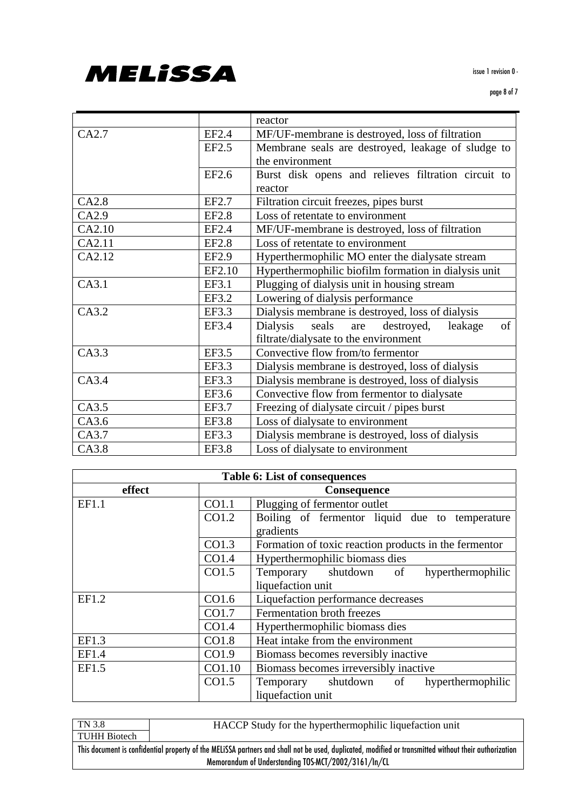

#### page 8 of 7

|              | reactor                                                 |  |  |  |
|--------------|---------------------------------------------------------|--|--|--|
| EF2.4        | MF/UF-membrane is destroyed, loss of filtration         |  |  |  |
| EF2.5        | Membrane seals are destroyed, leakage of sludge to      |  |  |  |
|              | the environment                                         |  |  |  |
| EF2.6        | Burst disk opens and relieves filtration circuit to     |  |  |  |
|              | reactor                                                 |  |  |  |
| EF2.7        | Filtration circuit freezes, pipes burst                 |  |  |  |
| <b>EF2.8</b> | Loss of retentate to environment                        |  |  |  |
| EF2.4        | MF/UF-membrane is destroyed, loss of filtration         |  |  |  |
| <b>EF2.8</b> | Loss of retentate to environment                        |  |  |  |
| EF2.9        | Hyperthermophilic MO enter the dialysate stream         |  |  |  |
| EF2.10       | Hyperthermophilic biofilm formation in dialysis unit    |  |  |  |
| EF3.1        | Plugging of dialysis unit in housing stream             |  |  |  |
| EF3.2        | Lowering of dialysis performance                        |  |  |  |
| EF3.3        | Dialysis membrane is destroyed, loss of dialysis        |  |  |  |
| EF3.4        | seals<br>Dialysis<br>of<br>destroyed,<br>leakage<br>are |  |  |  |
|              | filtrate/dialysate to the environment                   |  |  |  |
| EF3.5        | Convective flow from/to fermentor                       |  |  |  |
| EF3.3        | Dialysis membrane is destroyed, loss of dialysis        |  |  |  |
| EF3.3        | Dialysis membrane is destroyed, loss of dialysis        |  |  |  |
| EF3.6        | Convective flow from fermentor to dialysate             |  |  |  |
| EF3.7        | Freezing of dialysate circuit / pipes burst             |  |  |  |
| <b>EF3.8</b> | Loss of dialysate to environment                        |  |  |  |
| EF3.3        | Dialysis membrane is destroyed, loss of dialysis        |  |  |  |
| <b>EF3.8</b> | Loss of dialysate to environment                        |  |  |  |
|              |                                                         |  |  |  |

| <b>Table 6: List of consequences</b> |        |                                                       |  |  |  |  |
|--------------------------------------|--------|-------------------------------------------------------|--|--|--|--|
| effect                               |        | <b>Consequence</b>                                    |  |  |  |  |
| EF1.1                                | CO1.1  | Plugging of fermentor outlet                          |  |  |  |  |
|                                      | CO1.2  | Boiling of fermentor liquid due to temperature        |  |  |  |  |
|                                      |        | gradients                                             |  |  |  |  |
|                                      | CO1.3  | Formation of toxic reaction products in the fermentor |  |  |  |  |
|                                      | CO1.4  | Hyperthermophilic biomass dies                        |  |  |  |  |
|                                      | CO1.5  | Temporary shutdown<br>of<br>hyperthermophilic         |  |  |  |  |
|                                      |        | liquefaction unit                                     |  |  |  |  |
| EF1.2                                | CO1.6  | Liquefaction performance decreases                    |  |  |  |  |
|                                      | CO1.7  | Fermentation broth freezes                            |  |  |  |  |
|                                      | CO1.4  | Hyperthermophilic biomass dies                        |  |  |  |  |
| EF1.3                                | CO1.8  | Heat intake from the environment                      |  |  |  |  |
| EF1.4                                | CO1.9  | Biomass becomes reversibly inactive                   |  |  |  |  |
| EF1.5                                | CO1.10 | Biomass becomes irreversibly inactive                 |  |  |  |  |
|                                      | CO1.5  | Temporary shutdown<br>of<br>hyperthermophilic         |  |  |  |  |
|                                      |        | liquefaction unit                                     |  |  |  |  |

| TN 3.8              | HACCP Study for the hyperthermophilic liquefaction unit                                                                                               |
|---------------------|-------------------------------------------------------------------------------------------------------------------------------------------------------|
| <b>TUHH Biotech</b> |                                                                                                                                                       |
|                     | This document is confidential property of the MELISSA partners and shall not be used, duplicated, modified or transmitted without their authorization |
|                     | Memorandum of Understanding TOS-MCT/2002/3161/In/CL                                                                                                   |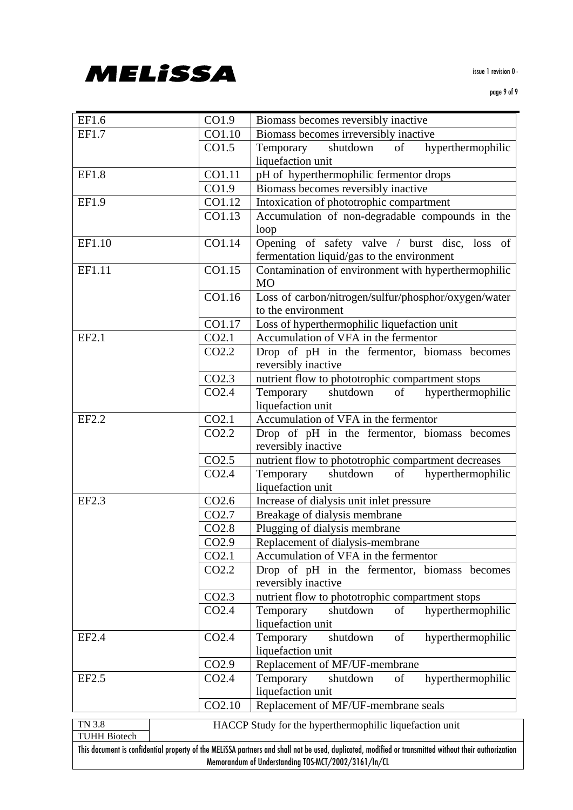

#### page 9 of 9

| EF1.6               | CO1.9               | Biomass becomes reversibly inactive                                                                                                                   |  |  |  |  |
|---------------------|---------------------|-------------------------------------------------------------------------------------------------------------------------------------------------------|--|--|--|--|
| EF1.7               | CO1.10              | Biomass becomes irreversibly inactive                                                                                                                 |  |  |  |  |
|                     | CO1.5               | shutdown<br>of<br>hyperthermophilic<br>Temporary                                                                                                      |  |  |  |  |
|                     |                     | liquefaction unit                                                                                                                                     |  |  |  |  |
| EF1.8               | CO1.11              | pH of hyperthermophilic fermentor drops                                                                                                               |  |  |  |  |
|                     | CO1.9               | Biomass becomes reversibly inactive                                                                                                                   |  |  |  |  |
| EF1.9               | $\overline{CO}1.12$ | Intoxication of phototrophic compartment                                                                                                              |  |  |  |  |
|                     | CO1.13              | Accumulation of non-degradable compounds in the                                                                                                       |  |  |  |  |
|                     |                     | loop                                                                                                                                                  |  |  |  |  |
| EF1.10              | CO1.14              | Opening of safety valve / burst disc, loss of                                                                                                         |  |  |  |  |
|                     |                     | fermentation liquid/gas to the environment                                                                                                            |  |  |  |  |
| EF1.11              | CO1.15              | Contamination of environment with hyperthermophilic                                                                                                   |  |  |  |  |
|                     |                     | <b>MO</b>                                                                                                                                             |  |  |  |  |
|                     | CO1.16              | Loss of carbon/nitrogen/sulfur/phosphor/oxygen/water                                                                                                  |  |  |  |  |
|                     |                     | to the environment                                                                                                                                    |  |  |  |  |
|                     | CO1.17              | Loss of hyperthermophilic liquefaction unit                                                                                                           |  |  |  |  |
| EF2.1               | CO <sub>2.1</sub>   | Accumulation of VFA in the fermentor                                                                                                                  |  |  |  |  |
|                     | CO <sub>2.2</sub>   | Drop of pH in the fermentor, biomass becomes                                                                                                          |  |  |  |  |
|                     |                     | reversibly inactive                                                                                                                                   |  |  |  |  |
|                     | CO <sub>2.3</sub>   | nutrient flow to phototrophic compartment stops                                                                                                       |  |  |  |  |
|                     | CO <sub>2.4</sub>   | shutdown of<br>hyperthermophilic<br>Temporary                                                                                                         |  |  |  |  |
|                     |                     | liquefaction unit                                                                                                                                     |  |  |  |  |
| EF2.2               | CO2.1               | Accumulation of VFA in the fermentor                                                                                                                  |  |  |  |  |
|                     | CO <sub>2.2</sub>   | Drop of pH in the fermentor, biomass becomes                                                                                                          |  |  |  |  |
|                     |                     | reversibly inactive                                                                                                                                   |  |  |  |  |
|                     | CO <sub>2.5</sub>   | nutrient flow to phototrophic compartment decreases                                                                                                   |  |  |  |  |
|                     | CO <sub>2.4</sub>   | shutdown of<br>hyperthermophilic<br>Temporary                                                                                                         |  |  |  |  |
|                     |                     | liquefaction unit                                                                                                                                     |  |  |  |  |
| EF2.3               | CO <sub>2.6</sub>   | Increase of dialysis unit inlet pressure                                                                                                              |  |  |  |  |
|                     | CO <sub>2.7</sub>   | Breakage of dialysis membrane                                                                                                                         |  |  |  |  |
|                     | CO <sub>2.8</sub>   | Plugging of dialysis membrane                                                                                                                         |  |  |  |  |
|                     | CO <sub>2.9</sub>   | Replacement of dialysis-membrane                                                                                                                      |  |  |  |  |
|                     | CO2.1               | Accumulation of VFA in the fermentor                                                                                                                  |  |  |  |  |
|                     | CO2.2               | Drop of pH in the fermentor, biomass becomes                                                                                                          |  |  |  |  |
|                     |                     | reversibly inactive                                                                                                                                   |  |  |  |  |
|                     | CO <sub>2.3</sub>   | nutrient flow to phototrophic compartment stops                                                                                                       |  |  |  |  |
|                     | CO <sub>2.4</sub>   | hyperthermophilic<br>Temporary<br>shutdown<br>of                                                                                                      |  |  |  |  |
|                     |                     | liquefaction unit                                                                                                                                     |  |  |  |  |
| EF2.4               | CO <sub>2.4</sub>   | Temporary<br>shutdown<br>hyperthermophilic<br>of                                                                                                      |  |  |  |  |
|                     |                     | liquefaction unit                                                                                                                                     |  |  |  |  |
|                     | CO <sub>2.9</sub>   | Replacement of MF/UF-membrane                                                                                                                         |  |  |  |  |
| EF2.5               | CO <sub>2.4</sub>   | Temporary<br>shutdown<br>of<br>hyperthermophilic                                                                                                      |  |  |  |  |
|                     |                     | liquefaction unit                                                                                                                                     |  |  |  |  |
|                     | CO2.10              | Replacement of MF/UF-membrane seals                                                                                                                   |  |  |  |  |
| <b>TN 3.8</b>       |                     |                                                                                                                                                       |  |  |  |  |
| <b>TUHH Biotech</b> |                     | HACCP Study for the hyperthermophilic liquefaction unit                                                                                               |  |  |  |  |
|                     |                     | This document is confidential property of the MELISSA partners and shall not be used, duplicated, modified or transmitted without their authorization |  |  |  |  |
|                     |                     | Memorandum of Understanding TOS-MCT/2002/3161/In/CL                                                                                                   |  |  |  |  |
|                     |                     |                                                                                                                                                       |  |  |  |  |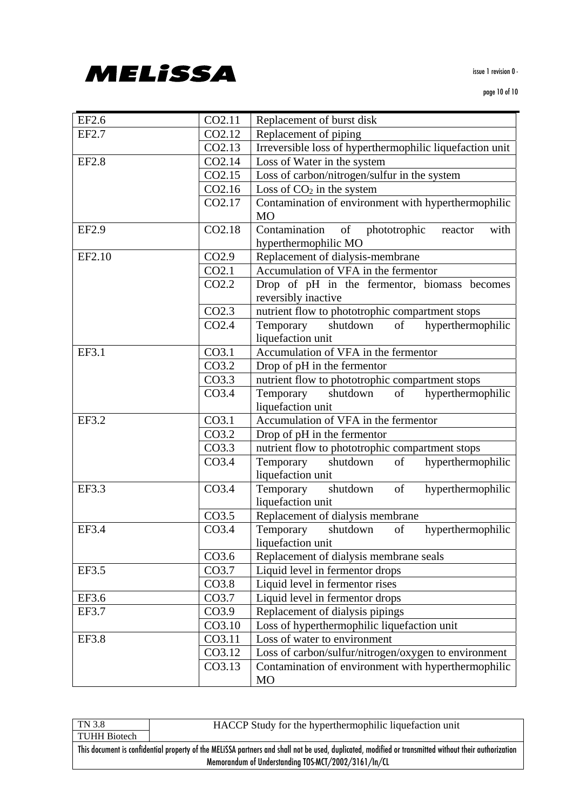

| EF2.6        | CO2.11             | Replacement of burst disk                                 |  |  |  |
|--------------|--------------------|-----------------------------------------------------------|--|--|--|
| EF2.7        | CO2.12             | Replacement of piping                                     |  |  |  |
|              | CO2.13             | Irreversible loss of hyperthermophilic liquefaction unit  |  |  |  |
| <b>EF2.8</b> | CO2.14             | Loss of Water in the system                               |  |  |  |
|              | CO2.15             | Loss of carbon/nitrogen/sulfur in the system              |  |  |  |
|              | CO <sub>2.16</sub> | Loss of $CO2$ in the system                               |  |  |  |
|              | CO2.17             | Contamination of environment with hyperthermophilic       |  |  |  |
|              |                    | <b>MO</b>                                                 |  |  |  |
| EF2.9        | CO <sub>2.18</sub> | Contamination<br>of<br>phototrophic<br>with<br>reactor    |  |  |  |
|              |                    | hyperthermophilic MO                                      |  |  |  |
| EF2.10       | CO <sub>2.9</sub>  | Replacement of dialysis-membrane                          |  |  |  |
|              | CO2.1              | Accumulation of VFA in the fermentor                      |  |  |  |
|              | CO <sub>2.2</sub>  | Drop of pH in the fermentor, biomass becomes              |  |  |  |
|              |                    | reversibly inactive                                       |  |  |  |
|              | CO <sub>2.3</sub>  | nutrient flow to phototrophic compartment stops           |  |  |  |
|              | CO <sub>2.4</sub>  | shutdown<br>of<br>hyperthermophilic<br>Temporary          |  |  |  |
|              |                    | liquefaction unit                                         |  |  |  |
| EF3.1        | CO <sub>3.1</sub>  | Accumulation of VFA in the fermentor                      |  |  |  |
|              | CO <sub>3.2</sub>  | Drop of pH in the fermentor                               |  |  |  |
|              | CO3.3              | nutrient flow to phototrophic compartment stops           |  |  |  |
|              | CO <sub>3.4</sub>  | hyperthermophilic<br>Temporary<br>shutdown of             |  |  |  |
|              |                    | liquefaction unit                                         |  |  |  |
| EF3.2        | CO <sub>3.1</sub>  | Accumulation of VFA in the fermentor                      |  |  |  |
|              | CO3.2              | Drop of pH in the fermentor                               |  |  |  |
|              | CO3.3              | nutrient flow to phototrophic compartment stops           |  |  |  |
|              | CO <sub>3.4</sub>  | hyperthermophilic<br>Temporary<br>shutdown<br>of          |  |  |  |
|              |                    | liquefaction unit                                         |  |  |  |
| EF3.3        | CO <sub>3.4</sub>  | Temporary<br>shutdown<br>of<br>hyperthermophilic          |  |  |  |
|              |                    | liquefaction unit                                         |  |  |  |
|              | CO3.5              | Replacement of dialysis membrane                          |  |  |  |
| EF3.4        | CO <sub>3.4</sub>  | Temporary<br>shutdown<br>of<br>hyperthermophilic          |  |  |  |
|              |                    | liquefaction unit                                         |  |  |  |
|              | CO3.6              | Replacement of dialysis membrane seals                    |  |  |  |
| EF3.5        | CO3.7              | Liquid level in fermentor drops                           |  |  |  |
|              | CO3.8              | Liquid level in fermentor rises                           |  |  |  |
| EF3.6        | CO3.7              | Liquid level in fermentor drops                           |  |  |  |
| EF3.7        | CO3.9              | Replacement of dialysis pipings                           |  |  |  |
|              | CO3.10             | Loss of hyperthermophilic liquefaction unit               |  |  |  |
| <b>EF3.8</b> | CO3.11             | Loss of water to environment                              |  |  |  |
|              | CO3.12             | Loss of carbon/sulfur/nitrogen/oxygen to environment      |  |  |  |
|              | CO3.13             |                                                           |  |  |  |
|              |                    | Contamination of environment with hyperthermophilic<br>MO |  |  |  |
|              |                    |                                                           |  |  |  |

| TN 3.8       | HACCP Study for the hyperthermophilic liquefaction unit                                                                                               |
|--------------|-------------------------------------------------------------------------------------------------------------------------------------------------------|
| TUHH Biotech |                                                                                                                                                       |
|              | This document is confidential property of the MELISSA partners and shall not be used, duplicated, modified or transmitted without their authorization |
|              | Memorandum of Understanding TOS-MCT/2002/3161/In/CL                                                                                                   |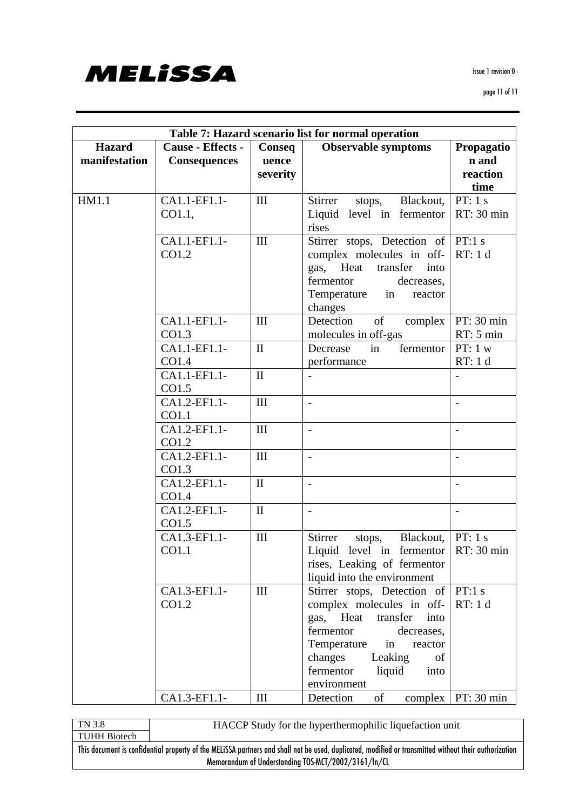

| Table 7: Hazard scenario list for normal operation |                                          |                             |                                                                                                                                                                                                                                          |                                         |
|----------------------------------------------------|------------------------------------------|-----------------------------|------------------------------------------------------------------------------------------------------------------------------------------------------------------------------------------------------------------------------------------|-----------------------------------------|
| <b>Hazard</b><br>manifestation                     | Cause - Effects -<br><b>Consequences</b> | Conseq<br>uence<br>severity | <b>Observable symptoms</b>                                                                                                                                                                                                               | Propagatio<br>n and<br>reaction<br>time |
| HM1.1                                              | CA1.1-EF1.1-<br>CO1.1,                   | III                         | Stirrer stops, Blackout,<br>Liquid level in fermentor<br>rises                                                                                                                                                                           | PT: 1 s<br>RT: 30 min                   |
|                                                    | CA1.1-EF1.1-<br>CO1.2                    | III                         | Stirrer stops, Detection of   PT:1 s<br>complex molecules in off-<br>Heat<br>gas,<br>transfer<br>into<br>fermentor<br>decreases,<br>in<br>Temperature<br>reactor<br>changes                                                              | RT: 1 d                                 |
|                                                    | CA1.1-EF1.1-<br>CO1.3                    | III                         | Detection<br>of<br>complex<br>molecules in off-gas                                                                                                                                                                                       | PT: 30 min<br>RT: 5 min                 |
|                                                    | CA1.1-EF1.1-<br>CO1.4                    | $\mathbf{I}$                | Decrease<br>fermentor<br>in<br>performance                                                                                                                                                                                               | PT: 1 w<br>RT: 1 d                      |
|                                                    | CA1.1-EF1.1-<br>CO1.5                    | $\mathbf{I}$                |                                                                                                                                                                                                                                          |                                         |
|                                                    | CA1.2-EF1.1-<br>CO1.1                    | III                         |                                                                                                                                                                                                                                          |                                         |
|                                                    | CA1.2-EF1.1-<br>CO1.2                    | III                         | $\overline{a}$                                                                                                                                                                                                                           | $\frac{1}{2}$                           |
|                                                    | CA1.2-EF1.1-<br>CO1.3                    | III                         | $\overline{\phantom{a}}$                                                                                                                                                                                                                 | $\overline{\phantom{a}}$                |
|                                                    | CA1.2-EF1.1-<br>CO1.4                    | $\mathbf{I}$                |                                                                                                                                                                                                                                          | $\overline{a}$                          |
|                                                    | CA1.2-EF1.1-<br>CO1.5                    | $\mathbf{I}$                | $\overline{a}$                                                                                                                                                                                                                           | $\overline{\phantom{a}}$                |
|                                                    | CA1.3-EF1.1-<br>CO1.1                    | III                         | Stirrer<br>Blackout,<br>stops,<br>Liquid level in ferment o $ RT: 30$ min<br>rises, Leaking of fermentor<br>liquid into the environment                                                                                                  | PT: 1 s                                 |
|                                                    | CA1.3-EF1.1-<br>CO1.2                    | III                         | Stirrer stops, Detection of $ PT:1 s$<br>complex molecules in off-<br>gas, Heat<br>transfer<br>into<br>fermentor<br>decreases,<br>Temperature<br>in<br>reactor<br>Leaking<br>changes<br>of<br>fermentor<br>liquid<br>into<br>environment | RT: 1 d                                 |
|                                                    | CA1.3-EF1.1-                             | III                         | of<br>Detection                                                                                                                                                                                                                          | complex   PT: 30 min                    |

TN 3.8 TUHH Biotech HACCP Study for the hyperthermophilic liquefaction unit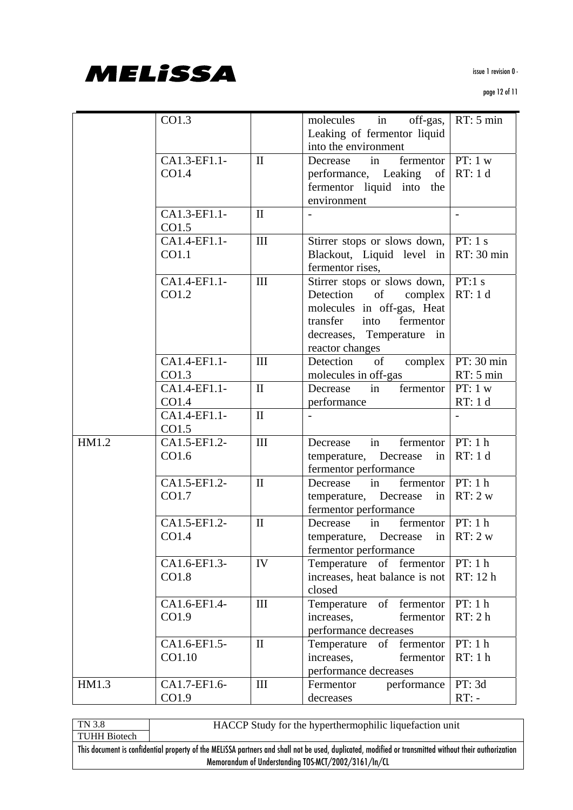

page 12 of 11

|       | CO1.3        |              | in off-gas,<br>molecules                | RT: 5 min         |
|-------|--------------|--------------|-----------------------------------------|-------------------|
|       |              |              | Leaking of fermentor liquid             |                   |
|       |              |              | into the environment                    |                   |
|       |              |              |                                         |                   |
|       | CA1.3-EF1.1- | $\mathbf{I}$ | fermentor   PT: $1 w$<br>in<br>Decrease |                   |
|       | CO1.4        |              | performance, Leaking<br>of              | RT: 1 d           |
|       |              |              | fermentor liquid into the               |                   |
|       |              |              | environment                             |                   |
|       | CA1.3-EF1.1- | $\mathbf{I}$ |                                         | $\qquad \qquad -$ |
|       | CO1.5        |              |                                         |                   |
|       | CA1.4-EF1.1- | III          | Stirrer stops or slows down,   PT: 1 s  |                   |
|       | CO1.1        |              | Blackout, Liquid level in               | RT: 30 min        |
|       |              |              | fermentor rises,                        |                   |
|       | CA1.4-EF1.1- | III          | Stirrer stops or slows down,            | PT:1 s            |
|       | CO1.2        |              | Detection<br>of<br>complex              | RT: 1 d           |
|       |              |              | molecules in off-gas, Heat              |                   |
|       |              |              | transfer into fermentor                 |                   |
|       |              |              | decreases, Temperature in               |                   |
|       |              |              | reactor changes                         |                   |
|       | CA1.4-EF1.1- | III          | Detection of complex                    | PT: 30 min        |
|       | CO1.3        |              | molecules in off-gas                    | RT: 5 min         |
|       | CA1.4-EF1.1- | $\mathbf{I}$ | fermentor<br>Decrease<br>in             | PT: 1 w           |
|       | CO1.4        |              | performance                             | RT: 1 d           |
|       | CA1.4-EF1.1- | $\mathbf{I}$ |                                         |                   |
|       | CO1.5        |              |                                         |                   |
| HM1.2 | CA1.5-EF1.2- | III          | fermentor   $PT: 1 h$<br>in<br>Decrease |                   |
|       | CO1.6        |              | temperature, Decrease<br>in             | RT: 1 d           |
|       |              |              | fermentor performance                   |                   |
|       | CA1.5-EF1.2- | $\mathbf{I}$ | fermentor   $PT: 1 h$<br>in             |                   |
|       |              |              | Decrease                                | RT: 2 w           |
|       | CO1.7        |              | temperature, Decrease<br>in             |                   |
|       |              |              | fermentor performance<br>in             |                   |
|       | CA1.5-EF1.2- | $\mathbf{I}$ | fermentor   $PT: 1 h$<br>Decrease       |                   |
|       | CO1.4        |              | temperature, Decrease in $\ RT: 2 w\ $  |                   |
|       |              |              | fermentor performance                   |                   |
|       | CA1.6-EF1.3- | IV           | Temperature of fermentor   PT: 1 h      |                   |
|       | CO1.8        |              | increases, heat balance is not          | RT: 12 h          |
|       |              |              | closed                                  |                   |
|       | CA1.6-EF1.4- | III          | of fermentor<br>Temperature             | PT: 1 h           |
|       | CO1.9        |              | fermentor<br>increases,                 | RT: 2h            |
|       |              |              | performance decreases                   |                   |
|       | CA1.6-EF1.5- | $\mathbf{I}$ | Temperature of fermentor                | PT: 1 h           |
|       | CO1.10       |              | increases,<br>fermentor                 | RT:1h             |
|       |              |              | performance decreases                   |                   |
| HM1.3 | CA1.7-EF1.6- | III          | performance<br>Fermentor                | PT: 3d            |
|       | CO1.9        |              | decreases                               | $RT: -$           |
|       |              |              |                                         |                   |

TN 3.8 TUHH Biotech HACCP Study for the hyperthermophilic liquefaction unit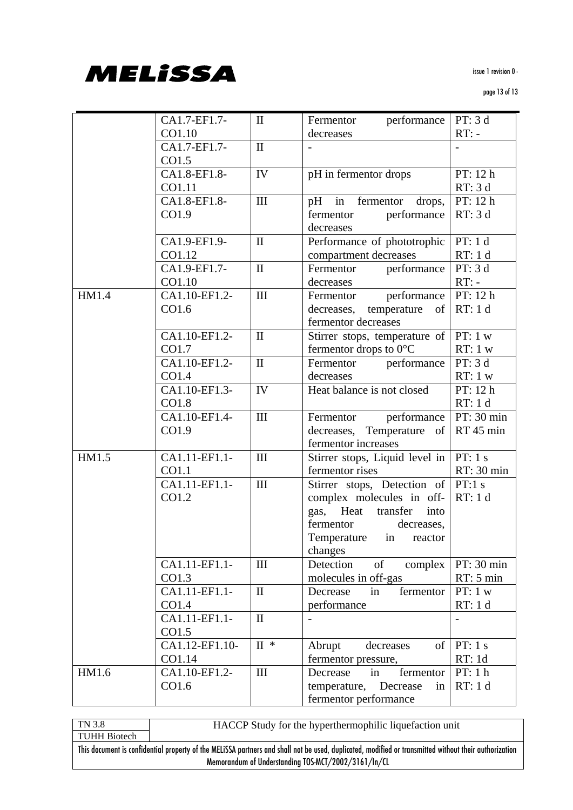

|       |                |                 |                                  | PT: 3d     |
|-------|----------------|-----------------|----------------------------------|------------|
|       | CA1.7-EF1.7-   | $\mathbf{I}$    | performance<br>Fermentor         |            |
|       | CO1.10         |                 | decreases                        | $RT: -$    |
|       | CA1.7-EF1.7-   | $\mathbf{I}$    |                                  |            |
|       | CO1.5          |                 |                                  |            |
|       | CA1.8-EF1.8-   | IV              | pH in fermentor drops            | PT: 12 h   |
|       | CO1.11         |                 |                                  | RT: 3d     |
|       | CA1.8-EF1.8-   | III             | $pH$ in<br>fermentor drops,      | PT: 12 h   |
|       | CO1.9          |                 | fermentor<br>performance         | RT: 3d     |
|       |                |                 | decreases                        |            |
|       | CA1.9-EF1.9-   | $\mathbf{I}$    | Performance of phototrophic      | PT: 1 d    |
|       | CO1.12         |                 | compartment decreases            | RT: 1 d    |
|       | CA1.9-EF1.7-   | $\mathbf{I}$    | performance<br>Fermentor         | PT: 3d     |
|       | CO1.10         |                 | decreases                        | $RT: -$    |
| HM1.4 | CA1.10-EF1.2-  | III             | performance<br>Fermentor         | PT: 12 h   |
|       | CO1.6          |                 | decreases,<br>temperature<br>of  | RT: 1 d    |
|       |                |                 | fermentor decreases              |            |
|       | CA1.10-EF1.2-  | $\mathbf{I}$    |                                  | PT: $1 w$  |
|       |                |                 | Stirrer stops, temperature of    |            |
|       | CO1.7          |                 | fermentor drops to $0^{\circ}$ C | RT: 1 w    |
|       | CA1.10-EF1.2-  | $\mathbf{I}$    | Fermentor<br>performance         | PT: 3d     |
|       | CO1.4          |                 | decreases                        | RT: 1 w    |
|       | CA1.10-EF1.3-  | IV              | Heat balance is not closed       | PT: 12 h   |
|       | CO1.8          |                 |                                  | RT: 1 d    |
|       | CA1.10-EF1.4-  | III             | performance<br>Fermentor         | PT: 30 min |
|       | CO1.9          |                 | decreases,<br>Temperature of     | RT 45 min  |
|       |                |                 | fermentor increases              |            |
| HM1.5 | CA1.11-EF1.1-  | III             | Stirrer stops, Liquid level in   | PT: $1 s$  |
|       | CO1.1          |                 | fermentor rises                  | RT: 30 min |
|       | CA1.11-EF1.1-  | III             | Stirrer stops, Detection of      | PT:1 s     |
|       | CO1.2          |                 | complex molecules in off-        | RT: 1 d    |
|       |                |                 | Heat<br>gas,<br>transfer<br>into |            |
|       |                |                 | fermentor<br>decreases,          |            |
|       |                |                 | Temperature in reactor           |            |
|       |                |                 | changes                          |            |
|       | CA1.11-EF1.1-  | III             | of<br>Detection<br>complex       | PT: 30 min |
|       | CO1.3          |                 | molecules in off-gas             | RT: 5 min  |
|       | CA1.11-EF1.1-  | $\mathbf{I}$    | fermentor<br>Decrease<br>in      | PT: 1 w    |
|       | CO1.4          |                 | performance                      | RT: 1 d    |
|       | CA1.11-EF1.1-  | $\mathbf{I}$    |                                  |            |
|       | CO1.5          |                 |                                  |            |
|       | CA1.12-EF1.10- | $\mathbf{II}$ * | of<br>Abrupt<br>decreases        | PT: 1 s    |
|       | CO1.14         |                 |                                  | RT:1d      |
|       | CA1.10-EF1.2-  | $\rm III$       | fermentor pressure,              | PT: 1 h    |
| HM1.6 |                |                 | in<br>fermentor<br>Decrease      |            |
|       | CO1.6          |                 | temperature, Decrease<br>in      | RT: 1 d    |
|       |                |                 | fermentor performance            |            |

TN 3.8 TUHH Biotech HACCP Study for the hyperthermophilic liquefaction unit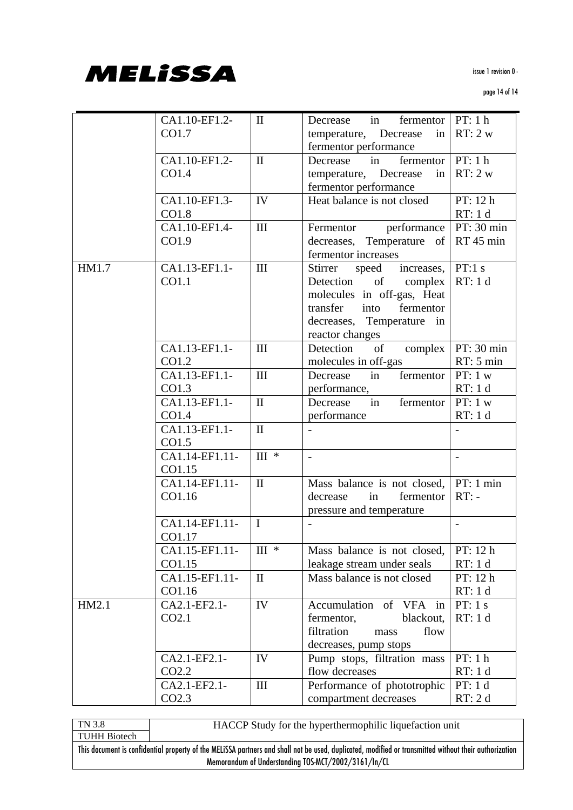

page 14 of 14

|       | CA1.10-EF1.2-     | $\mathbf{I}$                 | in fermentor $PT: 1 h$<br>Decrease |                |
|-------|-------------------|------------------------------|------------------------------------|----------------|
|       | CO1.7             |                              | temperature, Decrease<br>in        | RT: 2 w        |
|       |                   |                              | fermentor performance              |                |
|       | CA1.10-EF1.2-     | $\mathbf{I}$                 | Decrease in<br>fermentor           | PT: 1 h        |
|       | CO1.4             |                              | temperature, Decrease<br>in        | RT: 2 w        |
|       |                   |                              | fermentor performance              |                |
|       | CA1.10-EF1.3-     | IV                           | Heat balance is not closed         | PT: 12 h       |
|       | CO1.8             |                              |                                    | RT: 1 d        |
|       | CA1.10-EF1.4-     | III                          | performance<br>Fermentor           | PT: 30 min     |
|       | CO1.9             |                              | decreases, Temperature of          | RT 45 min      |
|       |                   |                              | fermentor increases                |                |
| HM1.7 | CA1.13-EF1.1-     | III                          | increases,<br>Stirrer<br>speed     | PT:1 s         |
|       | CO1.1             |                              | Detection of<br>complex            | RT: 1 d        |
|       |                   |                              | molecules in off-gas, Heat         |                |
|       |                   |                              | into<br>fermentor<br>transfer      |                |
|       |                   |                              | decreases, Temperature in          |                |
|       |                   |                              | reactor changes                    |                |
|       | CA1.13-EF1.1-     | III                          | $\sigma$<br>complex<br>Detection   | PT: 30 min     |
|       | CO1.2             |                              | molecules in off-gas               | RT: 5 min      |
|       | CA1.13-EF1.1-     | III                          | fermentor<br>in<br>Decrease        | PT: 1 w        |
|       | CO1.3             |                              | performance,                       | RT: 1 d        |
|       | CA1.13-EF1.1-     | $\mathbf{I}$                 | fermentor<br>Decrease<br>in        | PT: 1 w        |
|       | CO1.4             |                              | performance                        | RT: 1 d        |
|       | CA1.13-EF1.1-     | $\mathbf{I}$                 |                                    |                |
|       | CO1.5             |                              |                                    |                |
|       | CA1.14-EF1.11-    | $\scriptstyle\rm III$ $\ast$ | $\overline{\phantom{0}}$           | $\overline{a}$ |
|       | CO1.15            |                              |                                    |                |
|       | CA1.14-EF1.11-    | $\mathbf{I}$                 | Mass balance is not closed,        | PT: 1 min      |
|       | CO1.16            |                              | fermentor<br>decrease<br>in        | $RT: -$        |
|       |                   |                              | pressure and temperature           |                |
|       | CA1.14-EF1.11-    | $\mathbf I$                  |                                    | $\overline{a}$ |
|       | CO1.17            |                              |                                    |                |
|       | CA1.15-EF1.11-    | $\scriptstyle\rm III$ $\ast$ | Mass balance is not closed,        | PT: 12 h       |
|       | CO1.15            |                              | leakage stream under seals         | RT: 1 d        |
|       | CA1.15-EF1.11-    | $\mathbf{I}$                 | Mass balance is not closed         | PT: 12 h       |
|       | CO1.16            |                              |                                    | RT: 1 d        |
| HM2.1 | CA2.1-EF2.1-      | IV                           | Accumulation of VFA in             | PT: 1 s        |
|       | CO2.1             |                              | fermentor,<br>blackout,            | RT: 1 d        |
|       |                   |                              | filtration<br>flow<br>mass         |                |
|       |                   |                              | decreases, pump stops              |                |
|       | CA2.1-EF2.1-      | IV                           | Pump stops, filtration mass        | PT: 1 h        |
|       | CO2.2             |                              | flow decreases                     | RT: 1 d        |
|       | CA2.1-EF2.1-      | III                          | Performance of phototrophic        | PT: 1 d        |
|       | CO <sub>2.3</sub> |                              | compartment decreases              | RT: 2 d        |

TN 3.8 TUHH Biotech HACCP Study for the hyperthermophilic liquefaction unit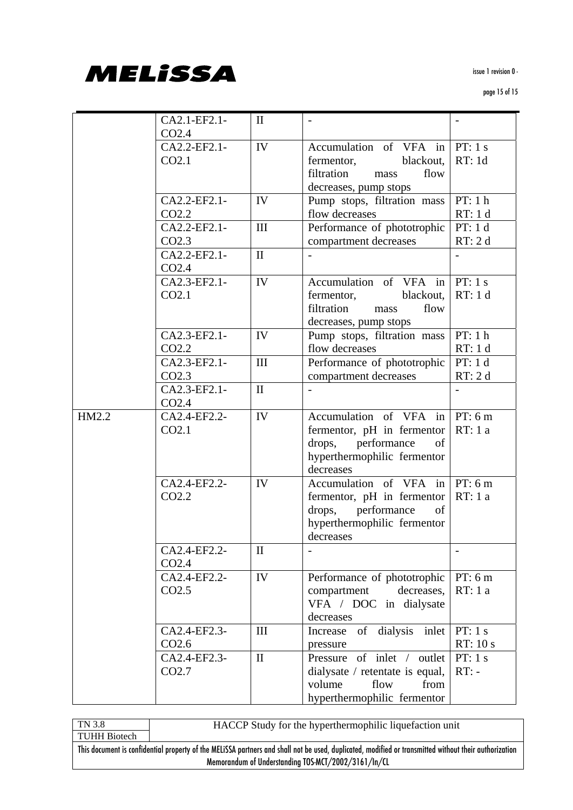

|       | CA2.1-EF2.1-      | $\mathbf{I}$ |                                  |           |
|-------|-------------------|--------------|----------------------------------|-----------|
|       | CO <sub>2.4</sub> |              |                                  |           |
|       | CA2.2-EF2.1-      | IV           | Accumulation of VFA in $PT: 1 s$ |           |
|       | CO2.1             |              | blackout,<br>fermentor,          | RT: 1d    |
|       |                   |              | filtration<br>flow<br>mass       |           |
|       |                   |              | decreases, pump stops            |           |
|       | CA2.2-EF2.1-      | IV           | Pump stops, filtration mass      | PT: 1 h   |
|       | CO <sub>2.2</sub> |              | flow decreases                   | RT: 1 d   |
|       | CA2.2-EF2.1-      | III          | Performance of phototrophic      | PT: 1 d   |
|       | CO <sub>2.3</sub> |              | compartment decreases            | RT: 2 d   |
|       | CA2.2-EF2.1-      | $\mathbf{I}$ |                                  |           |
|       | CO <sub>2.4</sub> |              |                                  |           |
|       | CA2.3-EF2.1-      | IV           | Accumulation of VFA in           | PT: 1 s   |
|       | CO2.1             |              | fermentor,<br>blackout,          | RT: 1 d   |
|       |                   |              | filtration<br>flow<br>mass       |           |
|       |                   |              | decreases, pump stops            |           |
|       | CA2.3-EF2.1-      | IV           | Pump stops, filtration mass      | PT: 1 h   |
|       | CO <sub>2.2</sub> |              | flow decreases                   | RT: 1 d   |
|       | CA2.3-EF2.1-      | III          | Performance of phototrophic      | PT: 1 d   |
|       | CO <sub>2.3</sub> |              | compartment decreases            | RT: 2 d   |
|       | CA2.3-EF2.1-      | $\mathbf{I}$ |                                  |           |
|       | CO <sub>2.4</sub> |              |                                  |           |
| HM2.2 | CA2.4-EF2.2-      | IV           | Accumulation of VFA in $PT: 6m$  |           |
|       | CO <sub>2.1</sub> |              | fermentor, pH in fermentor       | RT:1a     |
|       |                   |              | drops, performance<br>of         |           |
|       |                   |              | hyperthermophilic fermentor      |           |
|       |                   |              | decreases                        |           |
|       | CA2.4-EF2.2-      | IV           | Accumulation of VFA in $ PT: 6m$ |           |
|       | CO <sub>2.2</sub> |              | fermentor, pH in fermentor       | RT: 1 a   |
|       |                   |              | performance<br>drops,<br>of      |           |
|       |                   |              | hyperthermophilic fermentor      |           |
|       |                   |              | decreases                        |           |
|       | CA2.4-EF2.2-      | $\mathbf{I}$ |                                  |           |
|       | CO <sub>2.4</sub> |              |                                  |           |
|       | CA2.4-EF2.2-      | IV           | Performance of phototrophic      | PT: 6m    |
|       | CO <sub>2.5</sub> |              | decreases,<br>compartment        | RT: 1 a   |
|       |                   |              | VFA / DOC in dialysate           |           |
|       |                   |              | decreases                        |           |
|       | CA2.4-EF2.3-      | III          | of dialysis<br>inlet<br>Increase | PT: $1 s$ |
|       | CO <sub>2.6</sub> |              | pressure                         | RT: 10 s  |
|       | CA2.4-EF2.3-      | $\mathbf{I}$ | of inlet / outlet<br>Pressure    | PT: $1 s$ |
|       | CO <sub>2.7</sub> |              | dialysate / retentate is equal,  | $RT: -$   |
|       |                   |              | volume<br>flow<br>from           |           |
|       |                   |              | hyperthermophilic fermentor      |           |
|       |                   |              |                                  |           |

TN 3.8 TUHH Biotech HACCP Study for the hyperthermophilic liquefaction unit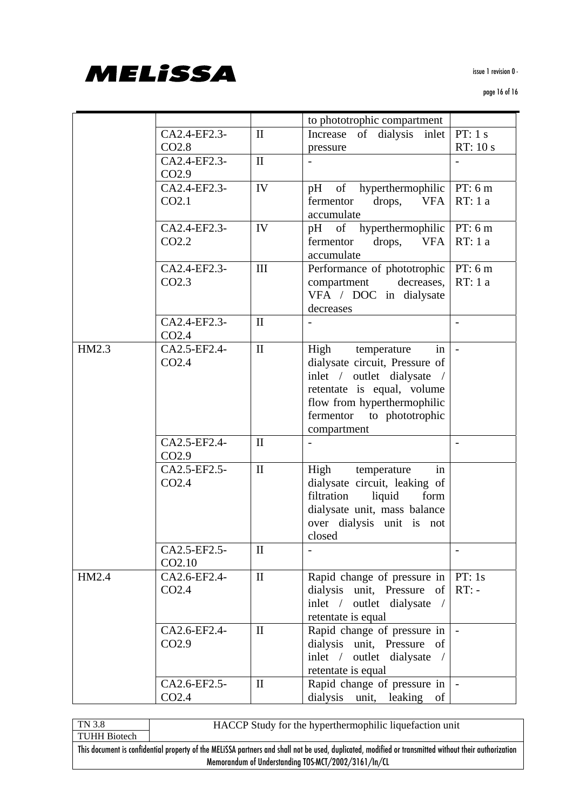

|       |                   |              | to phototrophic compartment           |          |
|-------|-------------------|--------------|---------------------------------------|----------|
|       | CA2.4-EF2.3-      | $\mathbf{I}$ | dialysis inlet<br>Increase<br>of      | PT: 1 s  |
|       | CO <sub>2.8</sub> |              | pressure                              | RT: 10 s |
|       | CA2.4-EF2.3-      | $\mathbf{I}$ |                                       |          |
|       | CO <sub>2.9</sub> |              |                                       |          |
|       | CA2.4-EF2.3-      | IV           | pH of hyperthermophilic   PT: 6 m     |          |
|       | CO <sub>2.1</sub> |              | <b>VFA</b><br>fermentor<br>drops,     | RT: 1a   |
|       |                   |              | accumulate                            |          |
|       | CA2.4-EF2.3-      | IV           | pH of hyperthermophilic $PT: 6m$      |          |
|       | CO2.2             |              | drops, VFA<br>fermentor               | RT: 1a   |
|       |                   |              | accumulate                            |          |
|       | CA2.4-EF2.3-      | III          | Performance of phototrophic           | PT: 6m   |
|       | CO <sub>2.3</sub> |              | decreases,<br>compartment             | RT: 1a   |
|       |                   |              | VFA / DOC in dialysate                |          |
|       |                   |              | decreases                             |          |
|       | CA2.4-EF2.3-      | $\mathbf{I}$ |                                       |          |
|       | CO <sub>2.4</sub> |              |                                       |          |
| HM2.3 | CA2.5-EF2.4-      | $\mathbf{I}$ | High temperature<br>in                |          |
|       | CO <sub>2.4</sub> |              | dialysate circuit, Pressure of        |          |
|       |                   |              | inlet / outlet dialysate /            |          |
|       |                   |              | retentate is equal, volume            |          |
|       |                   |              | flow from hyperthermophilic           |          |
|       |                   |              | fermentor to phototrophic             |          |
|       |                   |              | compartment                           |          |
|       | CA2.5-EF2.4-      | $\mathbf{I}$ |                                       |          |
|       | CO <sub>2.9</sub> |              |                                       |          |
|       | CA2.5-EF2.5-      | $\mathbf{I}$ | High<br>temperature<br>in             |          |
|       | CO2.4             |              | dialysate circuit, leaking of         |          |
|       |                   |              | filtration<br>liquid<br>form          |          |
|       |                   |              | dialysate unit, mass balance          |          |
|       |                   |              | over dialysis unit is not             |          |
|       |                   |              | closed                                |          |
|       | CA2.5-EF2.5-      | $\mathbf{I}$ |                                       |          |
|       | CO2.10            |              |                                       |          |
| HM2.4 | CA2.6-EF2.4-      | $\mathbf{I}$ | Rapid change of pressure in $ PT: 1s$ |          |
|       | CO <sub>2.4</sub> |              | dialysis unit, Pressure of            | $RT: -$  |
|       |                   |              | inlet / outlet dialysate /            |          |
|       |                   |              | retentate is equal                    |          |
|       | CA2.6-EF2.4-      | $\mathbf{I}$ | Rapid change of pressure in           |          |
|       | CO <sub>2.9</sub> |              | dialysis unit, Pressure of            |          |
|       |                   |              | inlet $/$<br>outlet dialysate /       |          |
|       |                   |              | retentate is equal                    |          |
|       | CA2.6-EF2.5-      | $\mathbf{I}$ | Rapid change of pressure in   -       |          |
|       | CO <sub>2.4</sub> |              | dialysis unit, leaking of             |          |

TN 3.8 TUHH Biotech HACCP Study for the hyperthermophilic liquefaction unit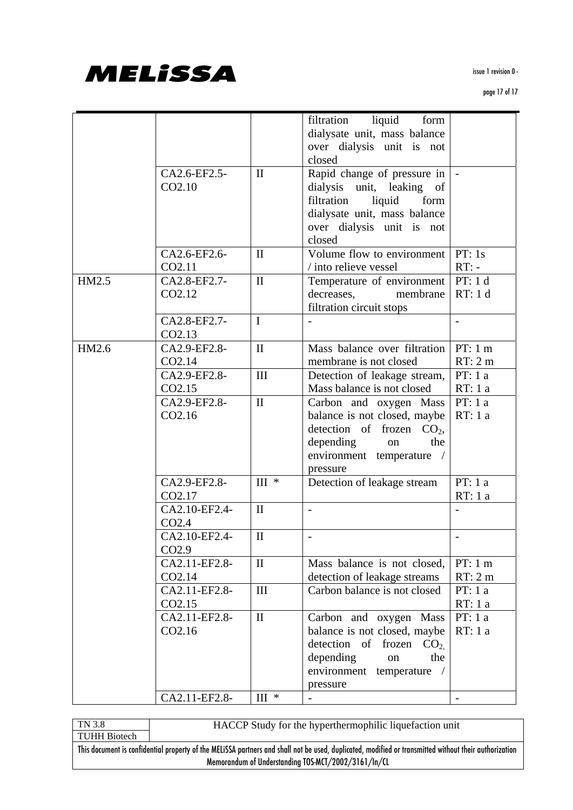

|       |                    |                                | filtration liquid form       |          |
|-------|--------------------|--------------------------------|------------------------------|----------|
|       |                    |                                | dialysate unit, mass balance |          |
|       |                    |                                | over dialysis unit is not    |          |
|       |                    |                                | closed                       |          |
|       | CA2.6-EF2.5-       | $\mathbf{I}$                   |                              |          |
|       |                    |                                | Rapid change of pressure in  |          |
|       | CO <sub>2.10</sub> |                                | dialysis unit, leaking of    |          |
|       |                    |                                | filtration<br>liquid<br>form |          |
|       |                    |                                | dialysate unit, mass balance |          |
|       |                    |                                | over dialysis unit is not    |          |
|       |                    |                                | closed                       |          |
|       | CA2.6-EF2.6-       | $\mathbf{I}$                   | Volume flow to environment   | PT: 1s   |
|       | CO <sub>2.11</sub> |                                | / into relieve vessel        | $RT: -$  |
| HM2.5 | CA2.8-EF2.7-       | $\mathbf{I}$                   | Temperature of environment   | PT: 1 d  |
|       | CO2.12             |                                | decreases,<br>membrane       | RT: 1 d  |
|       |                    |                                | filtration circuit stops     |          |
|       | CA2.8-EF2.7-       | $\mathbf{I}$                   |                              |          |
|       | CO2.13             |                                |                              |          |
| HM2.6 | CA2.9-EF2.8-       | $\mathbf{I}$                   | Mass balance over filtration | PT: 1 m  |
|       | CO2.14             |                                | membrane is not closed       | RT: 2m   |
|       | CA2.9-EF2.8-       | III                            |                              | PT: 1a   |
|       |                    |                                | Detection of leakage stream, |          |
|       | CO2.15             |                                | Mass balance is not closed   | RT: 1a   |
|       | CA2.9-EF2.8-       | $\mathbf{I}$                   | Carbon and oxygen Mass       | PT: 1a   |
|       | CO2.16             |                                | balance is not closed, maybe | RT: 1 a  |
|       |                    |                                | detection of frozen $CO2$ ,  |          |
|       |                    |                                | depending<br>the<br>on       |          |
|       |                    |                                | environment temperature /    |          |
|       |                    |                                | pressure                     |          |
|       | CA2.9-EF2.8-       | $III$ *                        | Detection of leakage stream  | PT: 1a   |
|       | CO2.17             |                                |                              | RT: 1 a  |
|       | CA2.10-EF2.4-      | $\mathbf{I}$                   | $\overline{\phantom{a}}$     |          |
|       | CO <sub>2.4</sub>  |                                |                              |          |
|       | CA2.10-EF2.4-      | $\mathbf{I}$                   | $\overline{\phantom{0}}$     |          |
|       | CO <sub>2.9</sub>  |                                |                              |          |
|       | CA2.11-EF2.8-      | $\mathbf{I}$                   | Mass balance is not closed,  | PT: 1 m  |
|       | CO <sub>2.14</sub> |                                | detection of leakage streams | RT: 2m   |
|       | CA2.11-EF2.8-      | III                            | Carbon balance is not closed | PT: $1a$ |
|       | CO2.15             |                                |                              | RT: 1a   |
|       | CA2.11-EF2.8-      | $\mathbf{I}$                   | Carbon and oxygen Mass       | PT: $1a$ |
|       | CO2.16             |                                | balance is not closed, maybe | RT: 1a   |
|       |                    |                                | detection of frozen          |          |
|       |                    |                                | CO <sub>2</sub>              |          |
|       |                    |                                | depending<br>the<br>on       |          |
|       |                    |                                | environment<br>temperature   |          |
|       |                    |                                | pressure                     |          |
|       | CA2.11-EF2.8-      | $\text{III}$ $\hspace{0.1cm}*$ |                              |          |

TN 3.8 TUHH Biotech HACCP Study for the hyperthermophilic liquefaction unit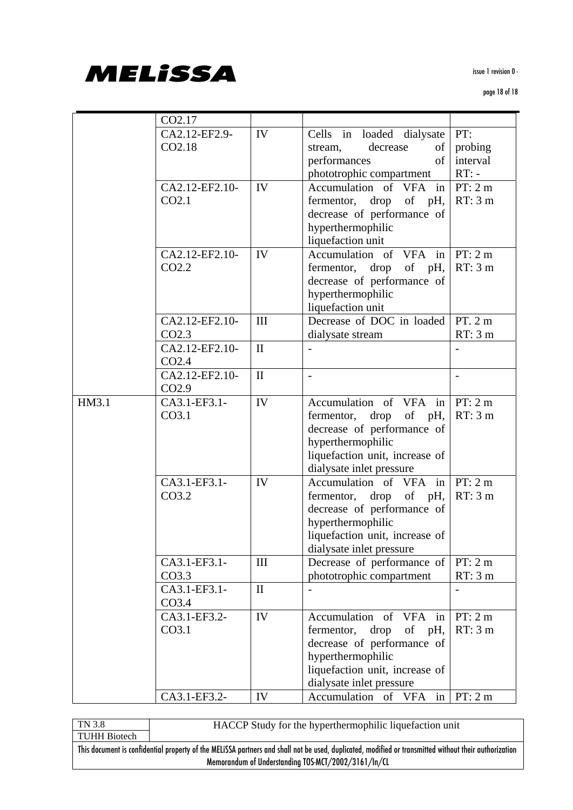

|       | CO2.17            |              |                                 |                          |
|-------|-------------------|--------------|---------------------------------|--------------------------|
|       | CA2.12-EF2.9-     | IV           | Cells in loaded dialysate       | PT:                      |
|       | CO2.18            |              | decrease<br>of 1<br>stream,     | probing                  |
|       |                   |              | performances<br>of              | interval                 |
|       |                   |              | phototrophic compartment        | $RT: -$                  |
|       | CA2.12-EF2.10-    | IV           | Accumulation of VFA in          | PT: 2m                   |
|       | CO <sub>2.1</sub> |              | fermentor, drop<br>of pH,       | RT: 3m                   |
|       |                   |              | decrease of performance of      |                          |
|       |                   |              | hyperthermophilic               |                          |
|       |                   |              | liquefaction unit               |                          |
|       | CA2.12-EF2.10-    | IV           | Accumulation of VFA in          | PT: 2m                   |
|       | CO <sub>2.2</sub> |              | fermentor, drop of pH,          | RT: 3m                   |
|       |                   |              | decrease of performance of      |                          |
|       |                   |              | hyperthermophilic               |                          |
|       |                   |              | liquefaction unit               |                          |
|       | CA2.12-EF2.10-    | III          | Decrease of DOC in loaded       | PT.2m                    |
|       | CO2.3             |              | dialysate stream                | RT: 3m                   |
|       | CA2.12-EF2.10-    | $\mathbf{I}$ |                                 |                          |
|       | CO <sub>2.4</sub> |              |                                 |                          |
|       | CA2.12-EF2.10-    | $\mathbf{I}$ | $\blacksquare$                  | $\overline{\phantom{a}}$ |
|       | CO <sub>2.9</sub> |              |                                 |                          |
| HM3.1 | CA3.1-EF3.1-      | IV           | Accumulation of VFA in          | PT: 2m                   |
|       | CO <sub>3.1</sub> |              | fermentor, drop of pH,          | RT: 3m                   |
|       |                   |              | decrease of performance of      |                          |
|       |                   |              | hyperthermophilic               |                          |
|       |                   |              | liquefaction unit, increase of  |                          |
|       |                   |              | dialysate inlet pressure        |                          |
|       | CA3.1-EF3.1-      | IV           | Accumulation of VFA in          | PT: 2m                   |
|       | CO3.2             |              | fermentor, drop of pH,          | RT: 3m                   |
|       |                   |              | decrease of performance of      |                          |
|       |                   |              | hyperthermophilic               |                          |
|       |                   |              | liquefaction unit, increase of  |                          |
|       |                   |              | dialysate inlet pressure        |                          |
|       | CA3.1-EF3.1-      | III          | Decrease of performance of      | PT: 2m                   |
|       | CO <sub>3.3</sub> |              | phototrophic compartment        | RT: 3m                   |
|       | CA3.1-EF3.1-      | $\mathbf{I}$ |                                 |                          |
|       | CO <sub>3.4</sub> |              |                                 |                          |
|       | CA3.1-EF3.2-      | IV           | Accumulation of VFA in          | PT: 2m                   |
|       | CO <sub>3.1</sub> |              | fermentor, drop<br>of pH,       | RT: 3m                   |
|       |                   |              | decrease of performance of      |                          |
|       |                   |              | hyperthermophilic               |                          |
|       |                   |              | liquefaction unit, increase of  |                          |
|       |                   |              | dialysate inlet pressure        |                          |
|       | CA3.1-EF3.2-      | IV           | Accumulation of VFA in $PT: 2m$ |                          |

TN 3.8 TUHH Biotech HACCP Study for the hyperthermophilic liquefaction unit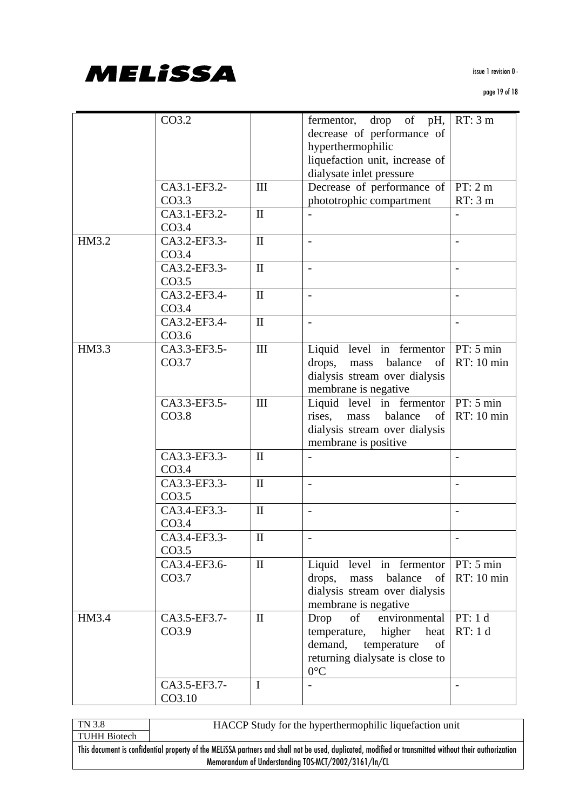

|       | CO3.2                             |              | fermentor, drop of pH,<br>decrease of performance of<br>hyperthermophilic                                                                           | RT: 3m                   |
|-------|-----------------------------------|--------------|-----------------------------------------------------------------------------------------------------------------------------------------------------|--------------------------|
|       |                                   |              | liquefaction unit, increase of<br>dialysate inlet pressure                                                                                          |                          |
|       | CA3.1-EF3.2-<br>CO3.3             | III          | Decrease of performance of<br>phototrophic compartment                                                                                              | PT: 2m<br>RT: 3m         |
|       | CA3.1-EF3.2-<br>CO3.4             | $\mathbf{I}$ |                                                                                                                                                     |                          |
| HM3.2 | CA3.2-EF3.3-<br>CO <sub>3.4</sub> | $\mathbf{I}$ | $\overline{\phantom{a}}$                                                                                                                            |                          |
|       | CA3.2-EF3.3-<br>CO <sub>3.5</sub> | $\mathbf{I}$ |                                                                                                                                                     | $\overline{a}$           |
|       | CA3.2-EF3.4-<br>CO3.4             | $\mathbf{I}$ | $\overline{\phantom{a}}$                                                                                                                            | $\overline{\phantom{a}}$ |
|       | CA3.2-EF3.4-<br>CO3.6             | $\mathbf{I}$ |                                                                                                                                                     |                          |
| HM3.3 | CA3.3-EF3.5-<br>CO <sub>3.7</sub> | III          | Liquid level in fermentor $ PT: 5 min$<br>drops,<br>balance<br>of<br>mass<br>dialysis stream over dialysis<br>membrane is negative                  | RT: 10 min               |
|       | CA3.3-EF3.5-<br>CO3.8             | III          | Liquid level in fermentor<br>rises,<br>balance<br>mass<br>of<br>dialysis stream over dialysis<br>membrane is positive                               | PT: 5 min<br>RT: 10 min  |
|       | CA3.3-EF3.3-<br>CO3.4             | $\mathbf{I}$ |                                                                                                                                                     | $\overline{\phantom{0}}$ |
|       | CA3.3-EF3.3-<br>CO <sub>3.5</sub> | $\mathbf{I}$ | $\overline{\phantom{a}}$                                                                                                                            |                          |
|       | CA3.4-EF3.3-<br>CO <sub>3.4</sub> | $\mathbf{I}$ | $\blacksquare$                                                                                                                                      | $\overline{\phantom{0}}$ |
|       | CA3.4-EF3.3-<br>CO <sub>3.5</sub> | $\mathbf{I}$ | $\overline{\phantom{0}}$                                                                                                                            |                          |
|       | CA3.4-EF3.6-<br>CO3.7             | $\mathbf{I}$ | Liquid level in fermentor<br>drops,<br>balance<br>of<br>mass<br>dialysis stream over dialysis<br>membrane is negative                               | PT: 5 min<br>RT: 10 min  |
| HM3.4 | CA3.5-EF3.7-<br>CO3.9             | $\mathbf{I}$ | $\sigma$<br>environmental<br>Drop<br>temperature, higher<br>heat<br>demand,<br>temperature<br>of<br>returning dialysate is close to<br>$0^{\circ}C$ | PT: 1 d<br>RT: 1 d       |
|       | CA3.5-EF3.7-<br>CO3.10            | I            |                                                                                                                                                     |                          |

TN 3.8 TUHH Biotech HACCP Study for the hyperthermophilic liquefaction unit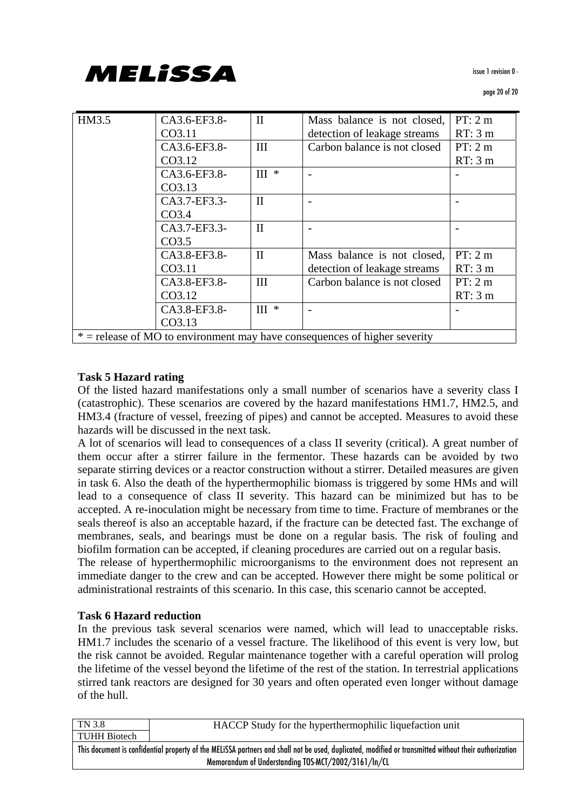| HM3.5                                                                       | CA3.6-EF3.8-      | $\mathbf{I}$                 | Mass balance is not closed,  | PT: 2m |  |
|-----------------------------------------------------------------------------|-------------------|------------------------------|------------------------------|--------|--|
|                                                                             | CO3.11            |                              | detection of leakage streams | RT: 3m |  |
|                                                                             | CA3.6-EF3.8-      | III                          | Carbon balance is not closed | PT: 2m |  |
|                                                                             | CO3.12            |                              |                              | RT: 3m |  |
|                                                                             | CA3.6-EF3.8-      | $\scriptstyle\rm III$ $\ast$ |                              |        |  |
|                                                                             | CO3.13            |                              |                              |        |  |
|                                                                             | CA3.7-EF3.3-      | $\mathbf{I}$                 |                              |        |  |
|                                                                             | CO <sub>3.4</sub> |                              |                              |        |  |
|                                                                             | CA3.7-EF3.3-      | $\mathbf{I}$                 |                              |        |  |
|                                                                             | CO <sub>3.5</sub> |                              |                              |        |  |
|                                                                             | CA3.8-EF3.8-      | $\mathbf{I}$                 | Mass balance is not closed,  | PT: 2m |  |
|                                                                             | CO3.11            |                              | detection of leakage streams | RT: 3m |  |
|                                                                             | CA3.8-EF3.8-      | III                          | Carbon balance is not closed | PT: 2m |  |
|                                                                             | CO3.12            |                              |                              | RT: 3m |  |
|                                                                             | CA3.8-EF3.8-      | $\rm III$ $\hspace{0.1cm}*$  |                              |        |  |
|                                                                             | CO3.13            |                              |                              |        |  |
| $*$ = release of MO to environment may have consequences of higher severity |                   |                              |                              |        |  |

#### **Task 5 Hazard rating**

Of the listed hazard manifestations only a small number of scenarios have a severity class I (catastrophic). These scenarios are covered by the hazard manifestations HM1.7, HM2.5, and HM3.4 (fracture of vessel, freezing of pipes) and cannot be accepted. Measures to avoid these hazards will be discussed in the next task.

A lot of scenarios will lead to consequences of a class II severity (critical). A great number of them occur after a stirrer failure in the fermentor. These hazards can be avoided by two separate stirring devices or a reactor construction without a stirrer. Detailed measures are given in task 6. Also the death of the hyperthermophilic biomass is triggered by some HMs and will lead to a consequence of class II severity. This hazard can be minimized but has to be accepted. A re-inoculation might be necessary from time to time. Fracture of membranes or the seals thereof is also an acceptable hazard, if the fracture can be detected fast. The exchange of membranes, seals, and bearings must be done on a regular basis. The risk of fouling and biofilm formation can be accepted, if cleaning procedures are carried out on a regular basis.

The release of hyperthermophilic microorganisms to the environment does not represent an immediate danger to the crew and can be accepted. However there might be some political or administrational restraints of this scenario. In this case, this scenario cannot be accepted.

#### **Task 6 Hazard reduction**

In the previous task several scenarios were named, which will lead to unacceptable risks. HM1.7 includes the scenario of a vessel fracture. The likelihood of this event is very low, but the risk cannot be avoided. Regular maintenance together with a careful operation will prolog the lifetime of the vessel beyond the lifetime of the rest of the station. In terrestrial applications stirred tank reactors are designed for 30 years and often operated even longer without damage of the hull.

| TN 3.8                                                                                                                                                | HACCP Study for the hyperthermophilic liquefaction unit |  |  |  |  |
|-------------------------------------------------------------------------------------------------------------------------------------------------------|---------------------------------------------------------|--|--|--|--|
| <b>TUHH Biotech</b>                                                                                                                                   |                                                         |  |  |  |  |
| This document is confidential property of the MELISSA partners and shall not be used, duplicated, modified or transmitted without their authorization |                                                         |  |  |  |  |
| Memorandum of Understanding TOS-MCT/2002/3161/In/CL                                                                                                   |                                                         |  |  |  |  |
|                                                                                                                                                       |                                                         |  |  |  |  |

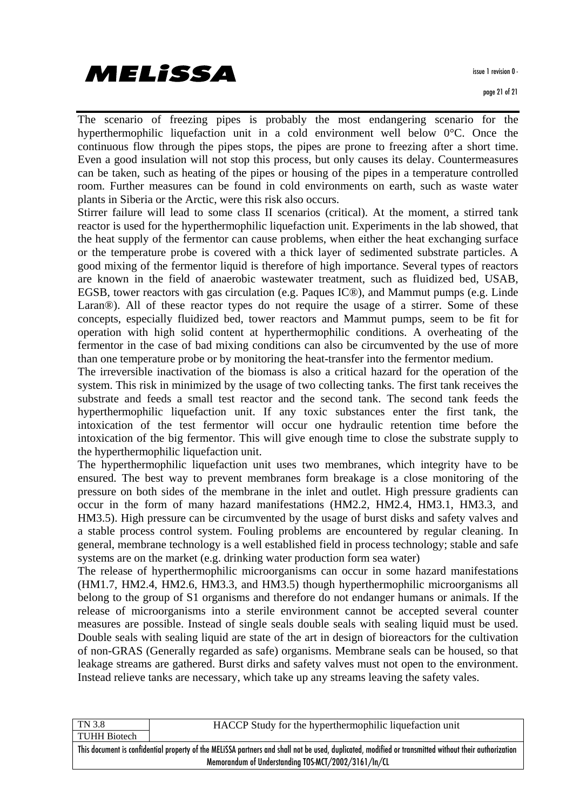**MELISSA** 

The scenario of freezing pipes is probably the most endangering scenario for the hyperthermophilic liquefaction unit in a cold environment well below 0°C. Once the continuous flow through the pipes stops, the pipes are prone to freezing after a short time. Even a good insulation will not stop this process, but only causes its delay. Countermeasures can be taken, such as heating of the pipes or housing of the pipes in a temperature controlled room. Further measures can be found in cold environments on earth, such as waste water plants in Siberia or the Arctic, were this risk also occurs.

Stirrer failure will lead to some class II scenarios (critical). At the moment, a stirred tank reactor is used for the hyperthermophilic liquefaction unit. Experiments in the lab showed, that the heat supply of the fermentor can cause problems, when either the heat exchanging surface or the temperature probe is covered with a thick layer of sedimented substrate particles. A good mixing of the fermentor liquid is therefore of high importance. Several types of reactors are known in the field of anaerobic wastewater treatment, such as fluidized bed, USAB, EGSB, tower reactors with gas circulation (e.g. Paques IC®), and Mammut pumps (e.g. Linde Laran<sup>®</sup>). All of these reactor types do not require the usage of a stirrer. Some of these concepts, especially fluidized bed, tower reactors and Mammut pumps, seem to be fit for operation with high solid content at hyperthermophilic conditions. A overheating of the fermentor in the case of bad mixing conditions can also be circumvented by the use of more than one temperature probe or by monitoring the heat-transfer into the fermentor medium.

The irreversible inactivation of the biomass is also a critical hazard for the operation of the system. This risk in minimized by the usage of two collecting tanks. The first tank receives the substrate and feeds a small test reactor and the second tank. The second tank feeds the hyperthermophilic liquefaction unit. If any toxic substances enter the first tank, the intoxication of the test fermentor will occur one hydraulic retention time before the intoxication of the big fermentor. This will give enough time to close the substrate supply to the hyperthermophilic liquefaction unit.

The hyperthermophilic liquefaction unit uses two membranes, which integrity have to be ensured. The best way to prevent membranes form breakage is a close monitoring of the pressure on both sides of the membrane in the inlet and outlet. High pressure gradients can occur in the form of many hazard manifestations (HM2.2, HM2.4, HM3.1, HM3.3, and HM3.5). High pressure can be circumvented by the usage of burst disks and safety valves and a stable process control system. Fouling problems are encountered by regular cleaning. In general, membrane technology is a well established field in process technology; stable and safe systems are on the market (e.g. drinking water production form sea water)

The release of hyperthermophilic microorganisms can occur in some hazard manifestations (HM1.7, HM2.4, HM2.6, HM3.3, and HM3.5) though hyperthermophilic microorganisms all belong to the group of S1 organisms and therefore do not endanger humans or animals. If the release of microorganisms into a sterile environment cannot be accepted several counter measures are possible. Instead of single seals double seals with sealing liquid must be used. Double seals with sealing liquid are state of the art in design of bioreactors for the cultivation of non-GRAS (Generally regarded as safe) organisms. Membrane seals can be housed, so that leakage streams are gathered. Burst dirks and safety valves must not open to the environment. Instead relieve tanks are necessary, which take up any streams leaving the safety vales.

| TN 3.8                                                                                                                                                | HACCP Study for the hyperthermophilic liquefaction unit |  |  |  |  |  |
|-------------------------------------------------------------------------------------------------------------------------------------------------------|---------------------------------------------------------|--|--|--|--|--|
| <b>TUHH Biotech</b>                                                                                                                                   |                                                         |  |  |  |  |  |
| This document is confidential property of the MELISSA partners and shall not be used, duplicated, modified or transmitted without their authorization |                                                         |  |  |  |  |  |
|                                                                                                                                                       | Memorandum of Understanding TOS-MCT/2002/3161/In/CL     |  |  |  |  |  |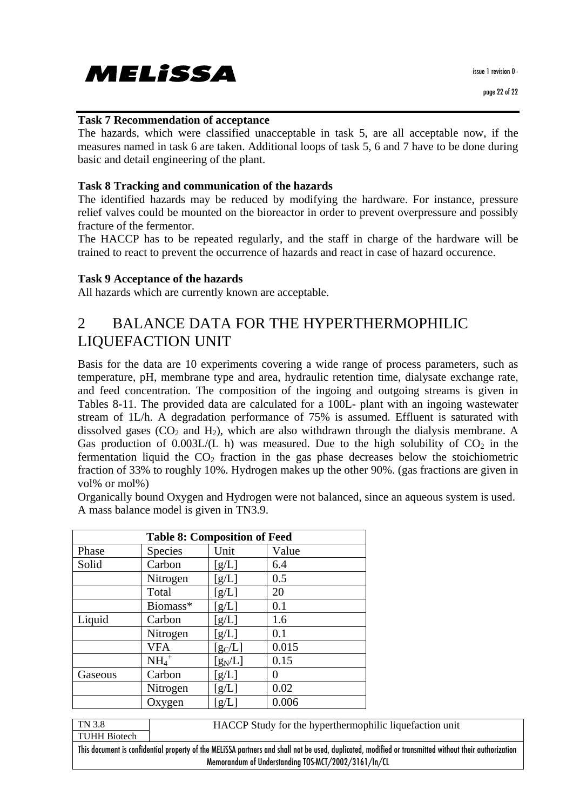MELISSA

issue 1 revision 0 -

#### **Task 7 Recommendation of acceptance**

The hazards, which were classified unacceptable in task 5, are all acceptable now, if the measures named in task 6 are taken. Additional loops of task 5, 6 and 7 have to be done during basic and detail engineering of the plant.

#### **Task 8 Tracking and communication of the hazards**

The identified hazards may be reduced by modifying the hardware. For instance, pressure relief valves could be mounted on the bioreactor in order to prevent overpressure and possibly fracture of the fermentor.

The HACCP has to be repeated regularly, and the staff in charge of the hardware will be trained to react to prevent the occurrence of hazards and react in case of hazard occurence.

#### **Task 9 Acceptance of the hazards**

All hazards which are currently known are acceptable.

### 2 BALANCE DATA FOR THE HYPERTHERMOPHILIC LIQUEFACTION UNIT

Basis for the data are 10 experiments covering a wide range of process parameters, such as temperature, pH, membrane type and area, hydraulic retention time, dialysate exchange rate, and feed concentration. The composition of the ingoing and outgoing streams is given in Tables 8-11. The provided data are calculated for a 100L- plant with an ingoing wastewater stream of 1L/h. A degradation performance of 75% is assumed. Effluent is saturated with dissolved gases  $(CO_2$  and  $H_2$ ), which are also withdrawn through the dialysis membrane. A Gas production of  $0.003L/L$  h) was measured. Due to the high solubility of  $CO<sub>2</sub>$  in the fermentation liquid the  $CO<sub>2</sub>$  fraction in the gas phase decreases below the stoichiometric fraction of 33% to roughly 10%. Hydrogen makes up the other 90%. (gas fractions are given in vol% or mol%)

Organically bound Oxygen and Hydrogen were not balanced, since an aqueous system is used. A mass balance model is given in TN3.9.

| <b>Table 8: Composition of Feed</b> |                     |           |       |  |  |
|-------------------------------------|---------------------|-----------|-------|--|--|
| Phase                               | Species             | Unit      | Value |  |  |
| Solid                               | Carbon              | [g/L]     | 6.4   |  |  |
|                                     | Nitrogen            | [g/L]     | 0.5   |  |  |
|                                     | Total               | [g/L]     | 20    |  |  |
|                                     | Biomass*            | [g/L]     | 0.1   |  |  |
| Liquid                              | Carbon              | [g/L]     | 1.6   |  |  |
|                                     | Nitrogen            | [g/L]     | 0.1   |  |  |
|                                     | <b>VFA</b>          | $[g_C/L]$ | 0.015 |  |  |
|                                     | $NH_4$ <sup>+</sup> | $[g_N/L]$ | 0.15  |  |  |
| Gaseous                             | Carbon              | [g/L]     | 0     |  |  |
|                                     | Nitrogen            | [g/L]     | 0.02  |  |  |
|                                     | Oxygen              | [g/L]     | 0.006 |  |  |

TN 3.8 TUHH Biotech HACCP Study for the hyperthermophilic liquefaction unit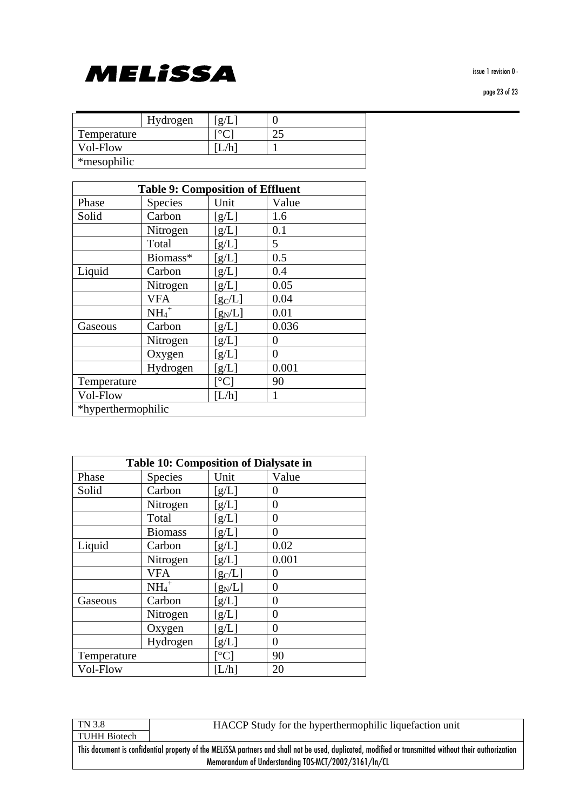#### page 23 of 23



|             | Hydrogen | $\sigma/$ |      |
|-------------|----------|-----------|------|
| Temperature |          |           | ົ່າ. |
| Vol-Flow    |          |           |      |
| *mesophilic |          |           |      |

| <b>Table 9: Composition of Effluent</b> |                     |                                |       |  |
|-----------------------------------------|---------------------|--------------------------------|-------|--|
| Phase                                   | <b>Species</b>      | Unit                           | Value |  |
| Solid                                   | Carbon              | [g/L]                          | 1.6   |  |
|                                         | Nitrogen            | [g/L]                          | 0.1   |  |
|                                         | Total               | [g/L]                          | 5     |  |
|                                         | Biomass*            | [g/L]                          | 0.5   |  |
| Liquid                                  | Carbon              | [g/L]                          | 0.4   |  |
|                                         | Nitrogen            | [g/L]                          | 0.05  |  |
|                                         | <b>VFA</b>          | $[g_C/L]$                      | 0.04  |  |
|                                         | $NH_4$ <sup>+</sup> | $[g_N/L]$                      | 0.01  |  |
| Gaseous                                 | Carbon              | [g/L]                          | 0.036 |  |
|                                         | Nitrogen            | [g/L]                          | 0     |  |
|                                         | Oxygen              | [g/L]                          | 0     |  |
|                                         | Hydrogen            | [g/L]                          | 0.001 |  |
| Temperature                             |                     | $\lceil{^\circ}\text{C}\rceil$ | 90    |  |
| Vol-Flow                                |                     | [L/h]                          | 1     |  |
| *hyperthermophilic                      |                     |                                |       |  |

| Table 10: Composition of Dialysate in |                     |              |       |  |
|---------------------------------------|---------------------|--------------|-------|--|
| Phase                                 | <b>Species</b>      | Unit         | Value |  |
| Solid                                 | Carbon              | [g/L]        | 0     |  |
|                                       | Nitrogen            | [g/L]        | 0     |  |
|                                       | Total               | [g/L]        | 0     |  |
|                                       | <b>Biomass</b>      | [g/L]        | 0     |  |
| Liquid                                | Carbon              | [g/L]        | 0.02  |  |
|                                       | Nitrogen            | [g/L]        | 0.001 |  |
|                                       | <b>VFA</b>          | $[g_C/L]$    | 0     |  |
|                                       | $NH_4$ <sup>+</sup> | $[g_N/L]$    | 0     |  |
| Gaseous                               | Carbon              | [g/L]        | 0     |  |
|                                       | Nitrogen            | [g/L]        | 0     |  |
|                                       | Oxygen              | [g/L]        | 0     |  |
|                                       | Hydrogen            | [g/L]        | 0     |  |
| Temperature                           |                     | $C^{\circ}C$ | 90    |  |
| Vol-Flow                              |                     |              | 20    |  |

TN 3.8 TUHH Biotech HACCP Study for the hyperthermophilic liquefaction unit